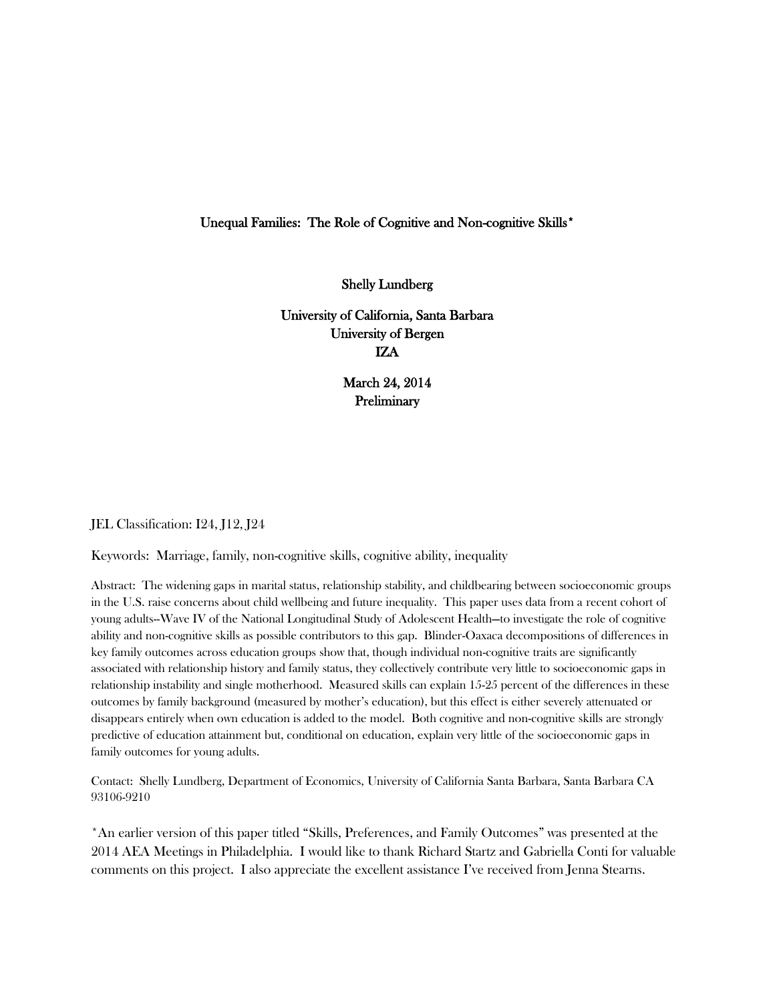# Unequal Families: The Role of Cognitive and Non-cognitive Skills\*

Shelly Lundberg

University of California, Santa Barbara University of Bergen IZA

> March 24, 2014 Preliminary

JEL Classification: I24, J12, J24

Keywords: Marriage, family, non-cognitive skills, cognitive ability, inequality

Abstract: The widening gaps in marital status, relationship stability, and childbearing between socioeconomic groups in the U.S. raise concerns about child wellbeing and future inequality. This paper uses data from a recent cohort of young adults--Wave IV of the National Longitudinal Study of Adolescent Health—to investigate the role of cognitive ability and non-cognitive skills as possible contributors to this gap. Blinder-Oaxaca decompositions of differences in key family outcomes across education groups show that, though individual non-cognitive traits are significantly associated with relationship history and family status, they collectively contribute very little to socioeconomic gaps in relationship instability and single motherhood. Measured skills can explain 15-25 percent of the differences in these outcomes by family background (measured by mother's education), but this effect is either severely attenuated or disappears entirely when own education is added to the model. Both cognitive and non-cognitive skills are strongly predictive of education attainment but, conditional on education, explain very little of the socioeconomic gaps in family outcomes for young adults.

Contact: Shelly Lundberg, Department of Economics, University of California Santa Barbara, Santa Barbara CA 93106-9210

\*An earlier version of this paper titled "Skills, Preferences, and Family Outcomes" was presented at the 2014 AEA Meetings in Philadelphia. I would like to thank Richard Startz and Gabriella Conti for valuable comments on this project. I also appreciate the excellent assistance I've received from Jenna Stearns.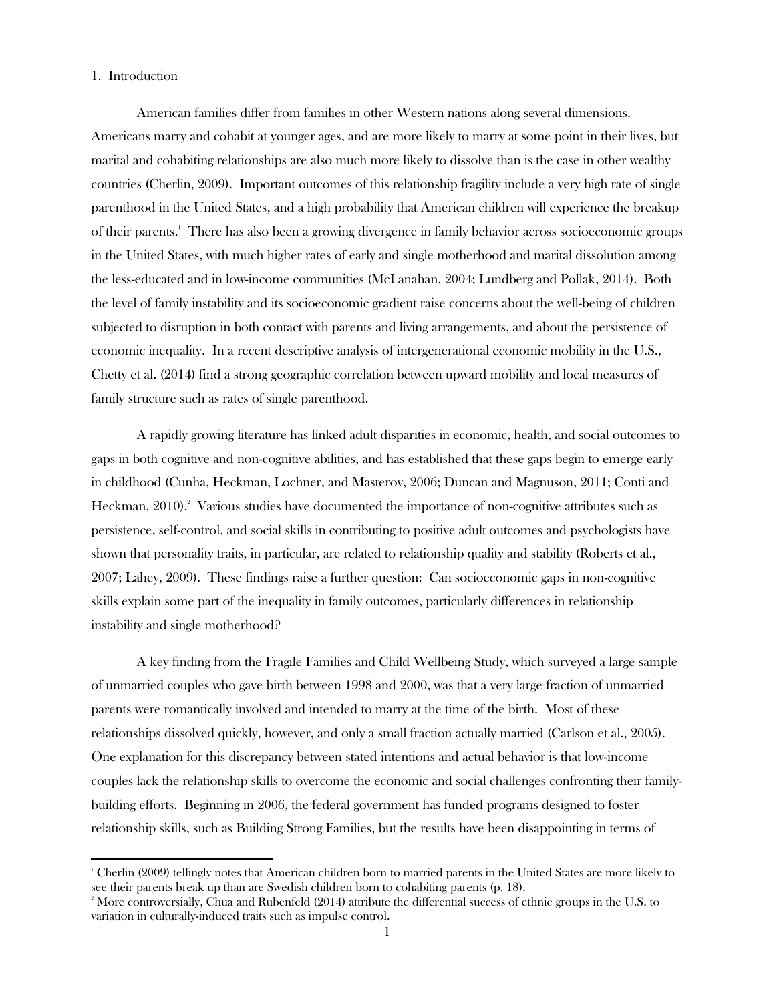### 1. Introduction

l

American families differ from families in other Western nations along several dimensions. Americans marry and cohabit at younger ages, and are more likely to marry at some point in their lives, but marital and cohabiting relationships are also much more likely to dissolve than is the case in other wealthy countries (Cherlin, 2009). Important outcomes of this relationship fragility include a very high rate of single parenthood in the United States, and a high probability that American children will experience the breakup of their parents.<sup>1</sup> There has also been a growing divergence in family behavior across socioeconomic groups in the United States, with much higher rates of early and single motherhood and marital dissolution among the less-educated and in low-income communities (McLanahan, 2004; Lundberg and Pollak, 2014). Both the level of family instability and its socioeconomic gradient raise concerns about the well-being of children subjected to disruption in both contact with parents and living arrangements, and about the persistence of economic inequality. In a recent descriptive analysis of intergenerational economic mobility in the U.S., Chetty et al. (2014) find a strong geographic correlation between upward mobility and local measures of family structure such as rates of single parenthood.

A rapidly growing literature has linked adult disparities in economic, health, and social outcomes to gaps in both cognitive and non-cognitive abilities, and has established that these gaps begin to emerge early in childhood (Cunha, Heckman, Lochner, and Masterov, 2006; Duncan and Magnuson, 2011; Conti and Heckman, 2010).<sup>2</sup> Various studies have documented the importance of non-cognitive attributes such as persistence, self-control, and social skills in contributing to positive adult outcomes and psychologists have shown that personality traits, in particular, are related to relationship quality and stability (Roberts et al., 2007; Lahey, 2009). These findings raise a further question: Can socioeconomic gaps in non-cognitive skills explain some part of the inequality in family outcomes, particularly differences in relationship instability and single motherhood?

A key finding from the Fragile Families and Child Wellbeing Study, which surveyed a large sample of unmarried couples who gave birth between 1998 and 2000, was that a very large fraction of unmarried parents were romantically involved and intended to marry at the time of the birth. Most of these relationships dissolved quickly, however, and only a small fraction actually married (Carlson et al., 2005). One explanation for this discrepancy between stated intentions and actual behavior is that low-income couples lack the relationship skills to overcome the economic and social challenges confronting their familybuilding efforts. Beginning in 2006, the federal government has funded programs designed to foster relationship skills, such as Building Strong Families, but the results have been disappointing in terms of

<sup>1</sup> Cherlin (2009) tellingly notes that American children born to married parents in the United States are more likely to see their parents break up than are Swedish children born to cohabiting parents (p. 18).

<sup>&</sup>lt;sup>2</sup> More controversially, Chua and Rubenfeld (2014) attribute the differential success of ethnic groups in the U.S. to variation in culturally-induced traits such as impulse control.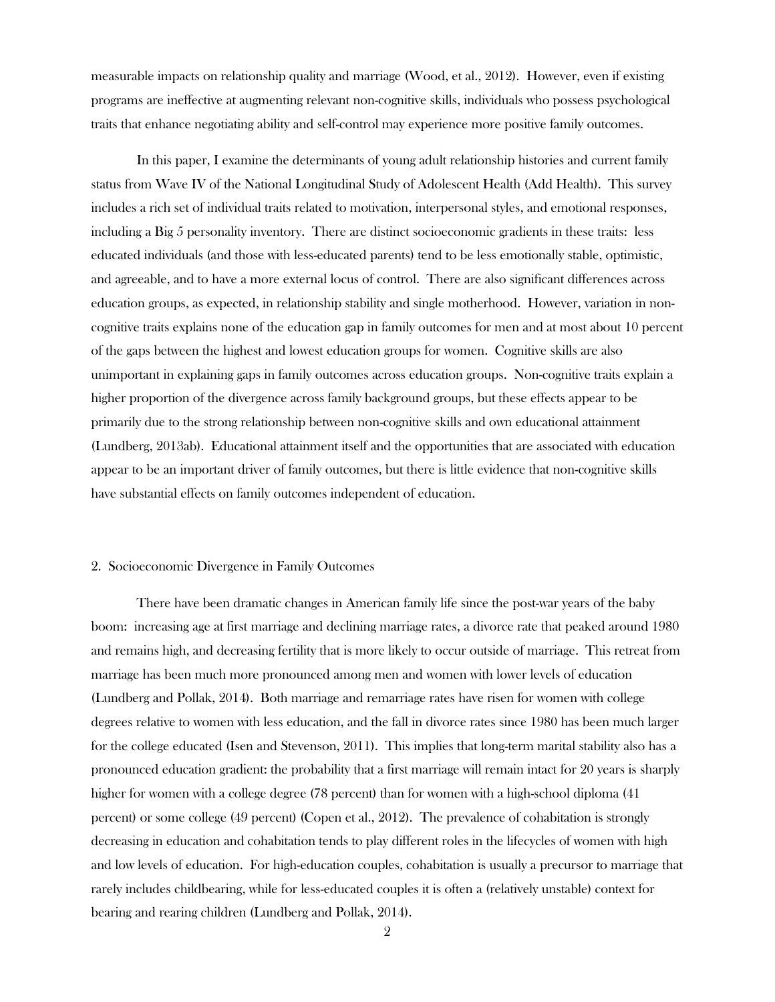measurable impacts on relationship quality and marriage (Wood, et al., 2012). However, even if existing programs are ineffective at augmenting relevant non-cognitive skills, individuals who possess psychological traits that enhance negotiating ability and self-control may experience more positive family outcomes.

In this paper, I examine the determinants of young adult relationship histories and current family status from Wave IV of the National Longitudinal Study of Adolescent Health (Add Health). This survey includes a rich set of individual traits related to motivation, interpersonal styles, and emotional responses, including a Big 5 personality inventory. There are distinct socioeconomic gradients in these traits: less educated individuals (and those with less-educated parents) tend to be less emotionally stable, optimistic, and agreeable, and to have a more external locus of control. There are also significant differences across education groups, as expected, in relationship stability and single motherhood. However, variation in noncognitive traits explains none of the education gap in family outcomes for men and at most about 10 percent of the gaps between the highest and lowest education groups for women. Cognitive skills are also unimportant in explaining gaps in family outcomes across education groups. Non-cognitive traits explain a higher proportion of the divergence across family background groups, but these effects appear to be primarily due to the strong relationship between non-cognitive skills and own educational attainment (Lundberg, 2013ab). Educational attainment itself and the opportunities that are associated with education appear to be an important driver of family outcomes, but there is little evidence that non-cognitive skills have substantial effects on family outcomes independent of education.

#### 2. Socioeconomic Divergence in Family Outcomes

There have been dramatic changes in American family life since the post-war years of the baby boom: increasing age at first marriage and declining marriage rates, a divorce rate that peaked around 1980 and remains high, and decreasing fertility that is more likely to occur outside of marriage. This retreat from marriage has been much more pronounced among men and women with lower levels of education (Lundberg and Pollak, 2014). Both marriage and remarriage rates have risen for women with college degrees relative to women with less education, and the fall in divorce rates since 1980 has been much larger for the college educated (Isen and Stevenson, 2011). This implies that long-term marital stability also has a pronounced education gradient: the probability that a first marriage will remain intact for 20 years is sharply higher for women with a college degree (78 percent) than for women with a high-school diploma (41 percent) or some college (49 percent) (Copen et al., 2012). The prevalence of cohabitation is strongly decreasing in education and cohabitation tends to play different roles in the lifecycles of women with high and low levels of education. For high-education couples, cohabitation is usually a precursor to marriage that rarely includes childbearing, while for less-educated couples it is often a (relatively unstable) context for bearing and rearing children (Lundberg and Pollak, 2014).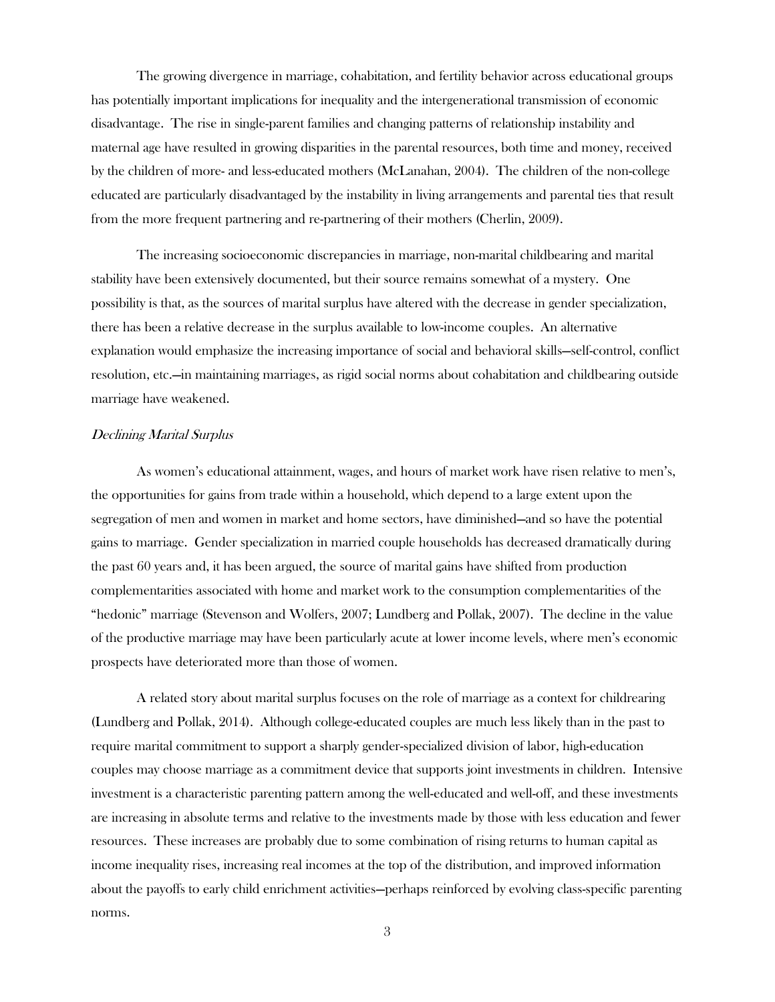The growing divergence in marriage, cohabitation, and fertility behavior across educational groups has potentially important implications for inequality and the intergenerational transmission of economic disadvantage. The rise in single-parent families and changing patterns of relationship instability and maternal age have resulted in growing disparities in the parental resources, both time and money, received by the children of more- and less-educated mothers (McLanahan, 2004). The children of the non-college educated are particularly disadvantaged by the instability in living arrangements and parental ties that result from the more frequent partnering and re-partnering of their mothers (Cherlin, 2009).

The increasing socioeconomic discrepancies in marriage, non-marital childbearing and marital stability have been extensively documented, but their source remains somewhat of a mystery. One possibility is that, as the sources of marital surplus have altered with the decrease in gender specialization, there has been a relative decrease in the surplus available to low-income couples. An alternative explanation would emphasize the increasing importance of social and behavioral skills—self-control, conflict resolution, etc.—in maintaining marriages, as rigid social norms about cohabitation and childbearing outside marriage have weakened.

#### Declining Marital Surplus

As women's educational attainment, wages, and hours of market work have risen relative to men's, the opportunities for gains from trade within a household, which depend to a large extent upon the segregation of men and women in market and home sectors, have diminished—and so have the potential gains to marriage. Gender specialization in married couple households has decreased dramatically during the past 60 years and, it has been argued, the source of marital gains have shifted from production complementarities associated with home and market work to the consumption complementarities of the "hedonic" marriage (Stevenson and Wolfers, 2007; Lundberg and Pollak, 2007). The decline in the value of the productive marriage may have been particularly acute at lower income levels, where men's economic prospects have deteriorated more than those of women.

A related story about marital surplus focuses on the role of marriage as a context for childrearing (Lundberg and Pollak, 2014). Although college-educated couples are much less likely than in the past to require marital commitment to support a sharply gender-specialized division of labor, high-education couples may choose marriage as a commitment device that supports joint investments in children. Intensive investment is a characteristic parenting pattern among the well-educated and well-off, and these investments are increasing in absolute terms and relative to the investments made by those with less education and fewer resources. These increases are probably due to some combination of rising returns to human capital as income inequality rises, increasing real incomes at the top of the distribution, and improved information about the payoffs to early child enrichment activities—perhaps reinforced by evolving class-specific parenting norms.

3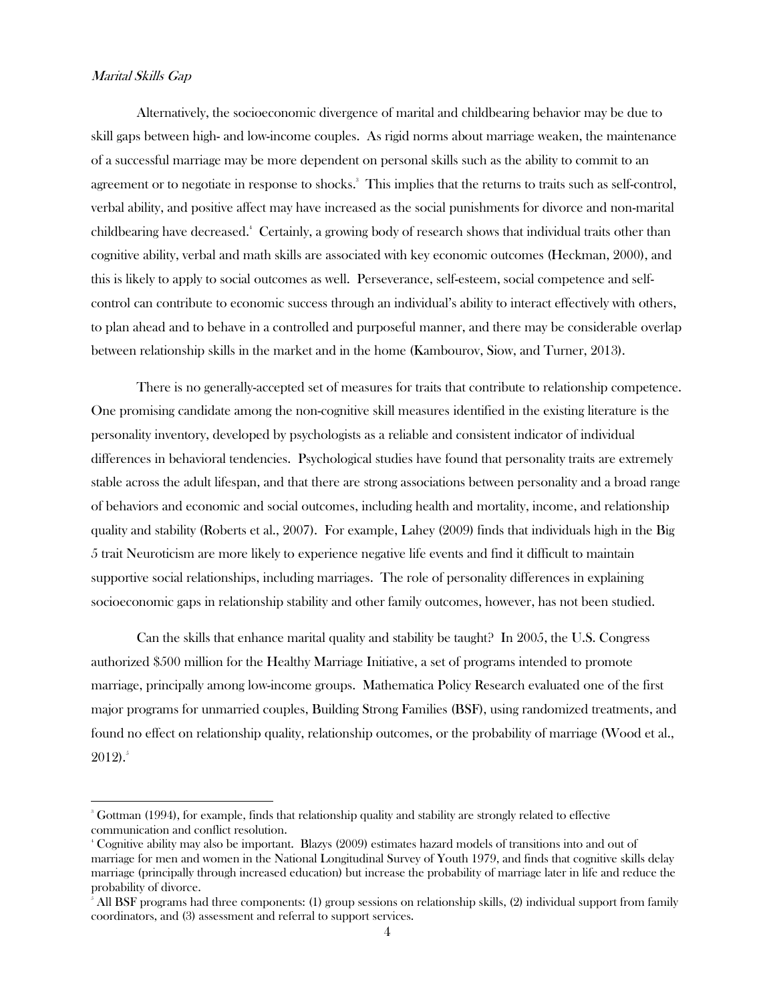### Marital Skills Gap

 $\overline{\phantom{a}}$ 

Alternatively, the socioeconomic divergence of marital and childbearing behavior may be due to skill gaps between high- and low-income couples. As rigid norms about marriage weaken, the maintenance of a successful marriage may be more dependent on personal skills such as the ability to commit to an agreement or to negotiate in response to shocks. 3 This implies that the returns to traits such as self-control, verbal ability, and positive affect may have increased as the social punishments for divorce and non-marital childbearing have decreased.<sup>4</sup> Certainly, a growing body of research shows that individual traits other than cognitive ability, verbal and math skills are associated with key economic outcomes (Heckman, 2000), and this is likely to apply to social outcomes as well. Perseverance, self-esteem, social competence and selfcontrol can contribute to economic success through an individual's ability to interact effectively with others, to plan ahead and to behave in a controlled and purposeful manner, and there may be considerable overlap between relationship skills in the market and in the home (Kambourov, Siow, and Turner, 2013).

There is no generally-accepted set of measures for traits that contribute to relationship competence. One promising candidate among the non-cognitive skill measures identified in the existing literature is the personality inventory, developed by psychologists as a reliable and consistent indicator of individual differences in behavioral tendencies. Psychological studies have found that personality traits are extremely stable across the adult lifespan, and that there are strong associations between personality and a broad range of behaviors and economic and social outcomes, including health and mortality, income, and relationship quality and stability (Roberts et al., 2007). For example, Lahey (2009) finds that individuals high in the Big 5 trait Neuroticism are more likely to experience negative life events and find it difficult to maintain supportive social relationships, including marriages. The role of personality differences in explaining socioeconomic gaps in relationship stability and other family outcomes, however, has not been studied.

Can the skills that enhance marital quality and stability be taught? In 2005, the U.S. Congress authorized \$500 million for the Healthy Marriage Initiative, a set of programs intended to promote marriage, principally among low-income groups. Mathematica Policy Research evaluated one of the first major programs for unmarried couples, Building Strong Families (BSF), using randomized treatments, and found no effect on relationship quality, relationship outcomes, or the probability of marriage (Wood et al.,  $2012$ .<sup>5</sup>

<sup>&</sup>lt;sup>3</sup> Gottman (1994), for example, finds that relationship quality and stability are strongly related to effective communication and conflict resolution.

<sup>4</sup> Cognitive ability may also be important. Blazys (2009) estimates hazard models of transitions into and out of marriage for men and women in the National Longitudinal Survey of Youth 1979, and finds that cognitive skills delay marriage (principally through increased education) but increase the probability of marriage later in life and reduce the probability of divorce.

<sup>5</sup> All BSF programs had three components: (1) group sessions on relationship skills, (2) individual support from family coordinators, and (3) assessment and referral to support services.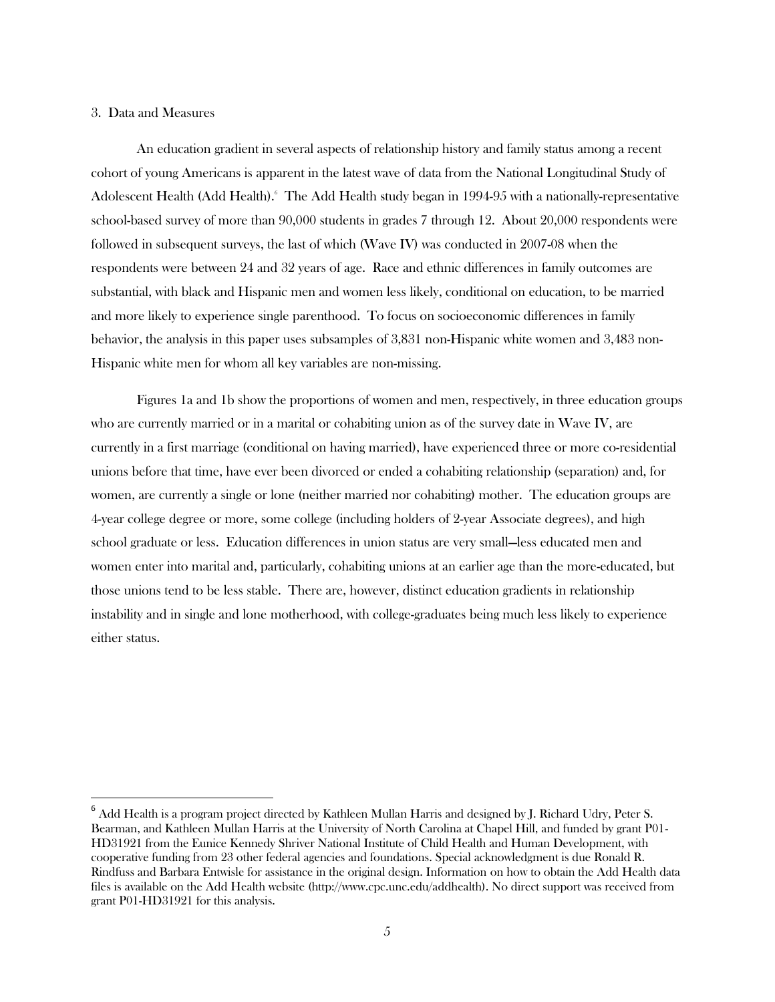### 3. Data and Measures

l

An education gradient in several aspects of relationship history and family status among a recent cohort of young Americans is apparent in the latest wave of data from the National Longitudinal Study of Adolescent Health (Add Health). The Add Health study began in 1994-95 with a nationally-representative school-based survey of more than 90,000 students in grades 7 through 12. About 20,000 respondents were followed in subsequent surveys, the last of which (Wave IV) was conducted in 2007-08 when the respondents were between 24 and 32 years of age. Race and ethnic differences in family outcomes are substantial, with black and Hispanic men and women less likely, conditional on education, to be married and more likely to experience single parenthood. To focus on socioeconomic differences in family behavior, the analysis in this paper uses subsamples of 3,831 non-Hispanic white women and 3,483 non-Hispanic white men for whom all key variables are non-missing.

Figures 1a and 1b show the proportions of women and men, respectively, in three education groups who are currently married or in a marital or cohabiting union as of the survey date in Wave IV, are currently in a first marriage (conditional on having married), have experienced three or more co-residential unions before that time, have ever been divorced or ended a cohabiting relationship (separation) and, for women, are currently a single or lone (neither married nor cohabiting) mother. The education groups are 4-year college degree or more, some college (including holders of 2-year Associate degrees), and high school graduate or less. Education differences in union status are very small—less educated men and women enter into marital and, particularly, cohabiting unions at an earlier age than the more-educated, but those unions tend to be less stable. There are, however, distinct education gradients in relationship instability and in single and lone motherhood, with college-graduates being much less likely to experience either status.

 $^6$  Add Health is a program project directed by Kathleen Mullan Harris and designed by J. Richard Udry, Peter S. Bearman, and Kathleen Mullan Harris at the University of North Carolina at Chapel Hill, and funded by grant P01- HD31921 from the Eunice Kennedy Shriver National Institute of Child Health and Human Development, with cooperative funding from 23 other federal agencies and foundations. Special acknowledgment is due Ronald R. Rindfuss and Barbara Entwisle for assistance in the original design. Information on how to obtain the Add Health data files is available on the Add Health website (http://www.cpc.unc.edu/addhealth). No direct support was received from grant P01-HD31921 for this analysis.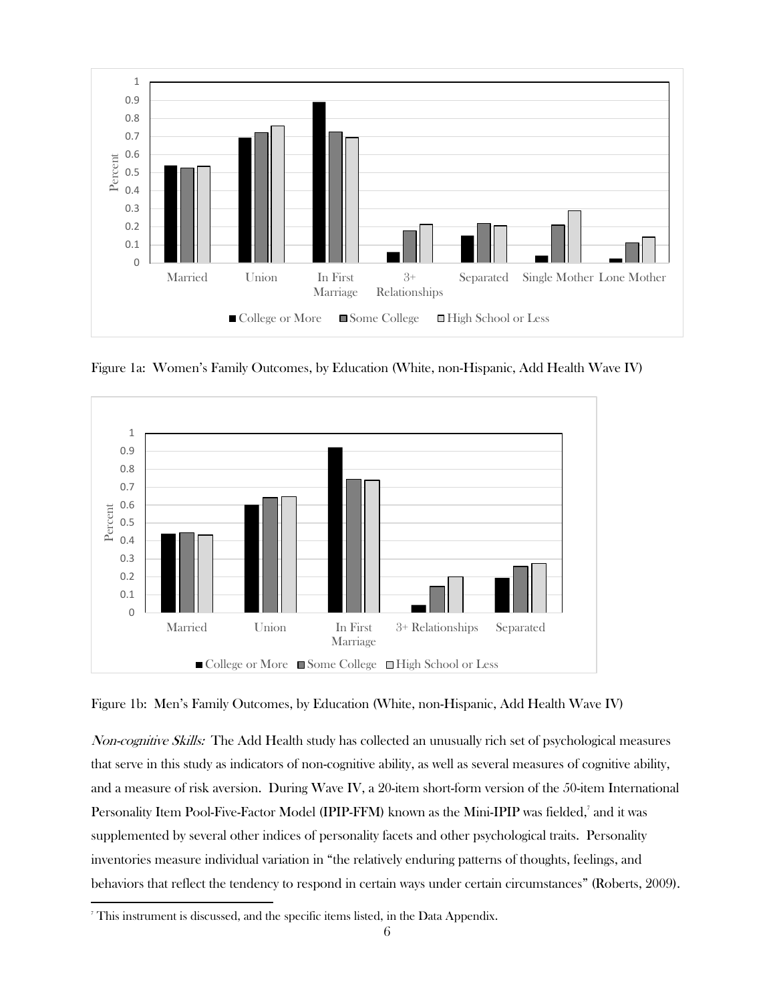

Figure 1a: Women's Family Outcomes, by Education (White, non-Hispanic, Add Health Wave IV)



Figure 1b: Men's Family Outcomes, by Education (White, non-Hispanic, Add Health Wave IV)

Non-cognitive Skills: The Add Health study has collected an unusually rich set of psychological measures that serve in this study as indicators of non-cognitive ability, as well as several measures of cognitive ability, and a measure of risk aversion. During Wave IV, a 20-item short-form version of the 50-item International Personality Item Pool-Five-Factor Model (IPIP-FFM) known as the Mini-IPIP was fielded,<sup>7</sup> and it was supplemented by several other indices of personality facets and other psychological traits. Personality inventories measure individual variation in "the relatively enduring patterns of thoughts, feelings, and behaviors that reflect the tendency to respond in certain ways under certain circumstances" (Roberts, 2009).

 $\overline{\phantom{a}}$ 

<sup>7</sup> This instrument is discussed, and the specific items listed, in the Data Appendix.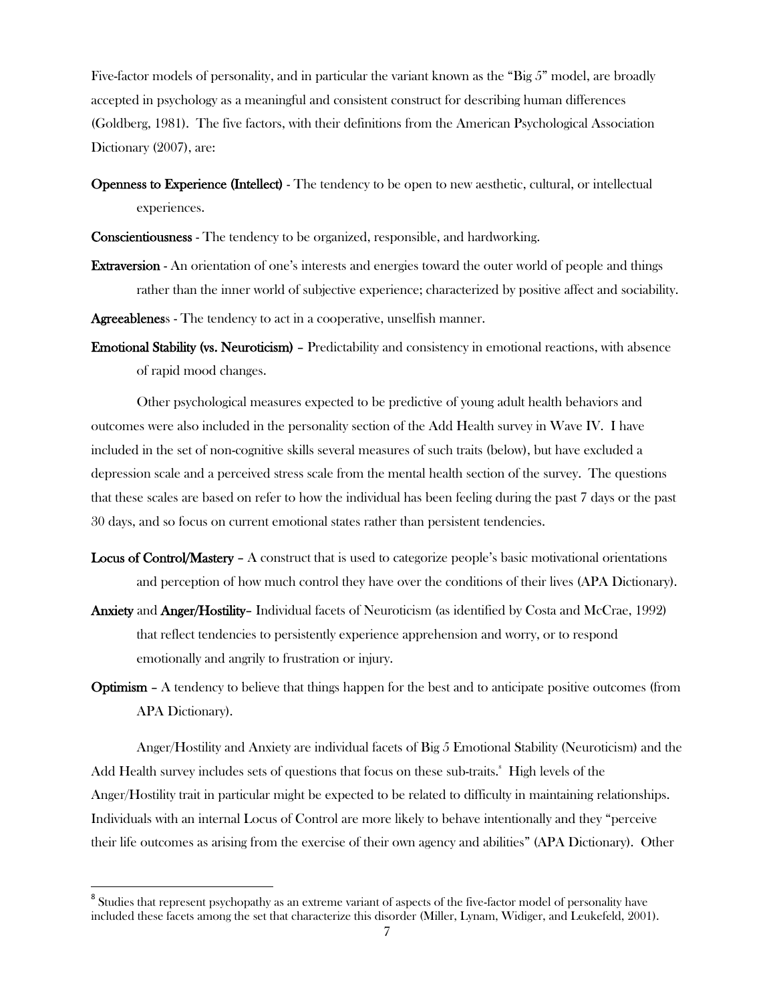Five-factor models of personality, and in particular the variant known as the "Big 5" model, are broadly accepted in psychology as a meaningful and consistent construct for describing human differences (Goldberg, 1981). The five factors, with their definitions from the American Psychological Association Dictionary (2007), are:

Openness to Experience (Intellect) - The tendency to be open to new aesthetic, cultural, or intellectual experiences.

Conscientiousness - The tendency to be organized, responsible, and hardworking.

Extraversion - An orientation of one's interests and energies toward the outer world of people and things rather than the inner world of subjective experience; characterized by positive affect and sociability.

Agreeableness - The tendency to act in a cooperative, unselfish manner.

Emotional Stability (vs. Neuroticism) – Predictability and consistency in emotional reactions, with absence of rapid mood changes.

Other psychological measures expected to be predictive of young adult health behaviors and outcomes were also included in the personality section of the Add Health survey in Wave IV. I have included in the set of non-cognitive skills several measures of such traits (below), but have excluded a depression scale and a perceived stress scale from the mental health section of the survey. The questions that these scales are based on refer to how the individual has been feeling during the past 7 days or the past 30 days, and so focus on current emotional states rather than persistent tendencies.

- Locus of Control/Mastery A construct that is used to categorize people's basic motivational orientations and perception of how much control they have over the conditions of their lives (APA Dictionary).
- Anxiety and Anger/Hostility– Individual facets of Neuroticism (as identified by Costa and McCrae, 1992) that reflect tendencies to persistently experience apprehension and worry, or to respond emotionally and angrily to frustration or injury.
- Optimism A tendency to believe that things happen for the best and to anticipate positive outcomes (from APA Dictionary).

Anger/Hostility and Anxiety are individual facets of Big 5 Emotional Stability (Neuroticism) and the Add Health survey includes sets of questions that focus on these sub-traits.<sup>8</sup> High levels of the Anger/Hostility trait in particular might be expected to be related to difficulty in maintaining relationships. Individuals with an internal Locus of Control are more likely to behave intentionally and they "perceive their life outcomes as arising from the exercise of their own agency and abilities" (APA Dictionary). Other

 $\overline{a}$ 

 $^8$  Studies that represent psychopathy as an extreme variant of aspects of the five-factor model of personality have included these facets among the set that characterize this disorder (Miller, Lynam, Widiger, and Leukefeld, 2001).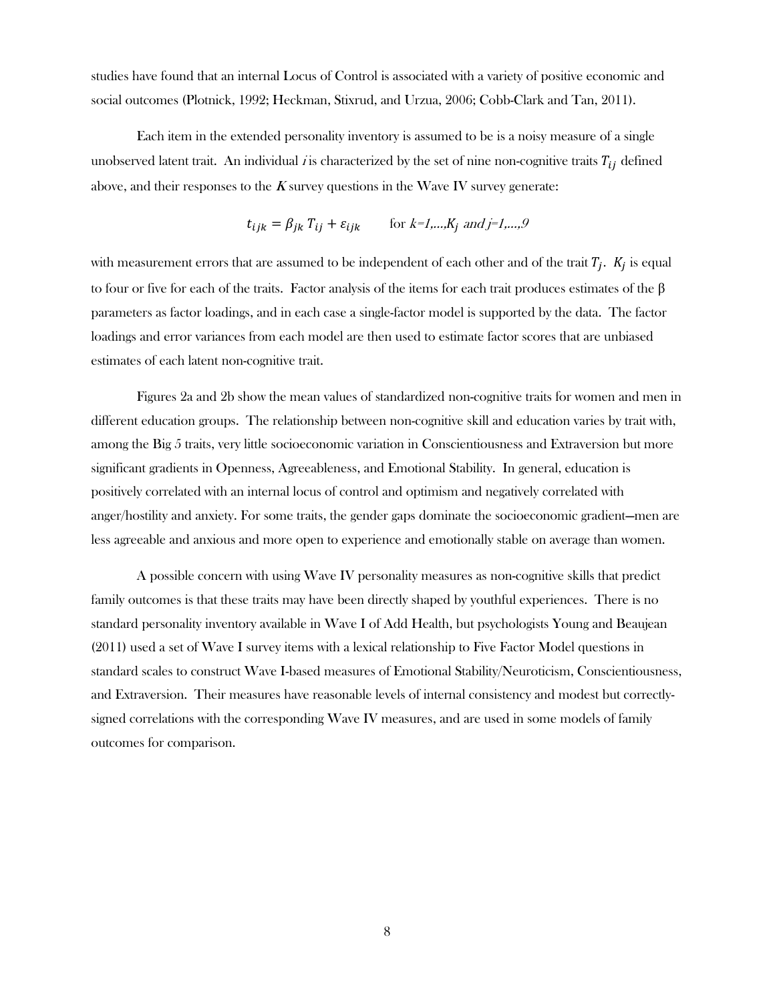studies have found that an internal Locus of Control is associated with a variety of positive economic and social outcomes (Plotnick, 1992; Heckman, Stixrud, and Urzua, 2006; Cobb-Clark and Tan, 2011).

Each item in the extended personality inventory is assumed to be is a noisy measure of a single unobserved latent trait. An individual *i* is characterized by the set of nine non-cognitive traits  $T_{ij}$  defined above, and their responses to the  $K$  survey questions in the Wave IV survey generate:

$$
t_{ijk} = \beta_{jk} T_{ij} + \varepsilon_{ijk} \qquad \text{for } k = 1, \dots, K_j \text{ and } j = 1, \dots, 9
$$

with measurement errors that are assumed to be independent of each other and of the trait  $T_i$ .  $K_i$  is equal to four or five for each of the traits. Factor analysis of the items for each trait produces estimates of the β parameters as factor loadings, and in each case a single-factor model is supported by the data. The factor loadings and error variances from each model are then used to estimate factor scores that are unbiased estimates of each latent non-cognitive trait.

Figures 2a and 2b show the mean values of standardized non-cognitive traits for women and men in different education groups. The relationship between non-cognitive skill and education varies by trait with, among the Big 5 traits, very little socioeconomic variation in Conscientiousness and Extraversion but more significant gradients in Openness, Agreeableness, and Emotional Stability. In general, education is positively correlated with an internal locus of control and optimism and negatively correlated with anger/hostility and anxiety. For some traits, the gender gaps dominate the socioeconomic gradient—men are less agreeable and anxious and more open to experience and emotionally stable on average than women.

A possible concern with using Wave IV personality measures as non-cognitive skills that predict family outcomes is that these traits may have been directly shaped by youthful experiences. There is no standard personality inventory available in Wave I of Add Health, but psychologists Young and Beaujean (2011) used a set of Wave I survey items with a lexical relationship to Five Factor Model questions in standard scales to construct Wave I-based measures of Emotional Stability/Neuroticism, Conscientiousness, and Extraversion. Their measures have reasonable levels of internal consistency and modest but correctlysigned correlations with the corresponding Wave IV measures, and are used in some models of family outcomes for comparison.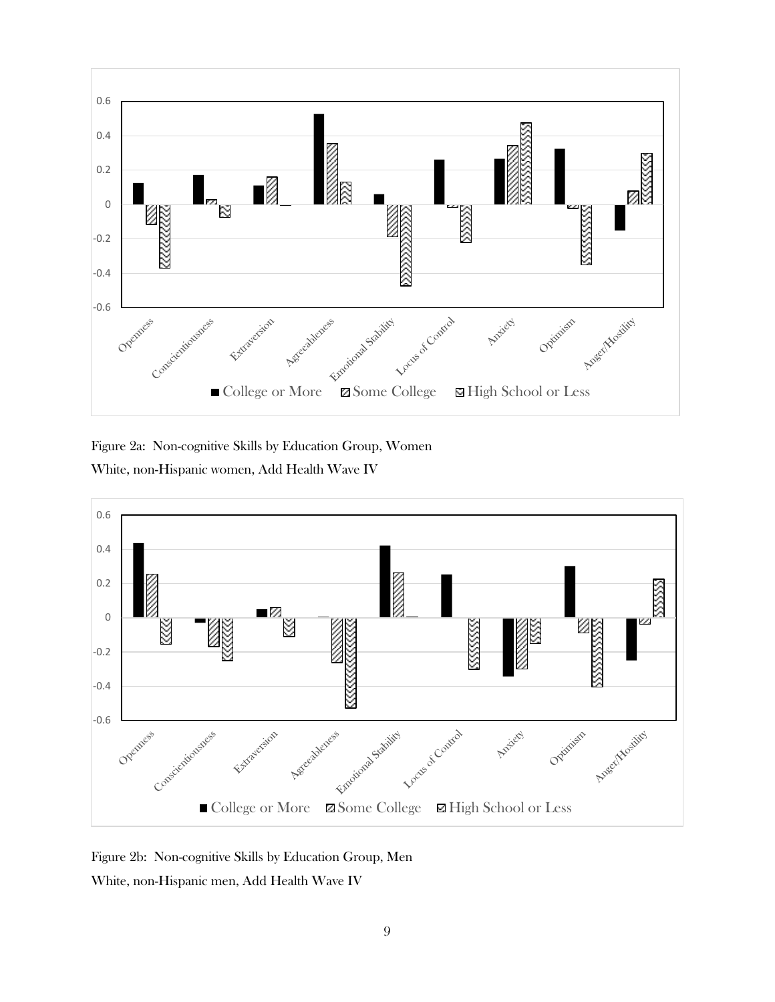

Figure 2a: Non-cognitive Skills by Education Group, Women White, non-Hispanic women, Add Health Wave IV



Figure 2b: Non-cognitive Skills by Education Group, Men White, non-Hispanic men, Add Health Wave IV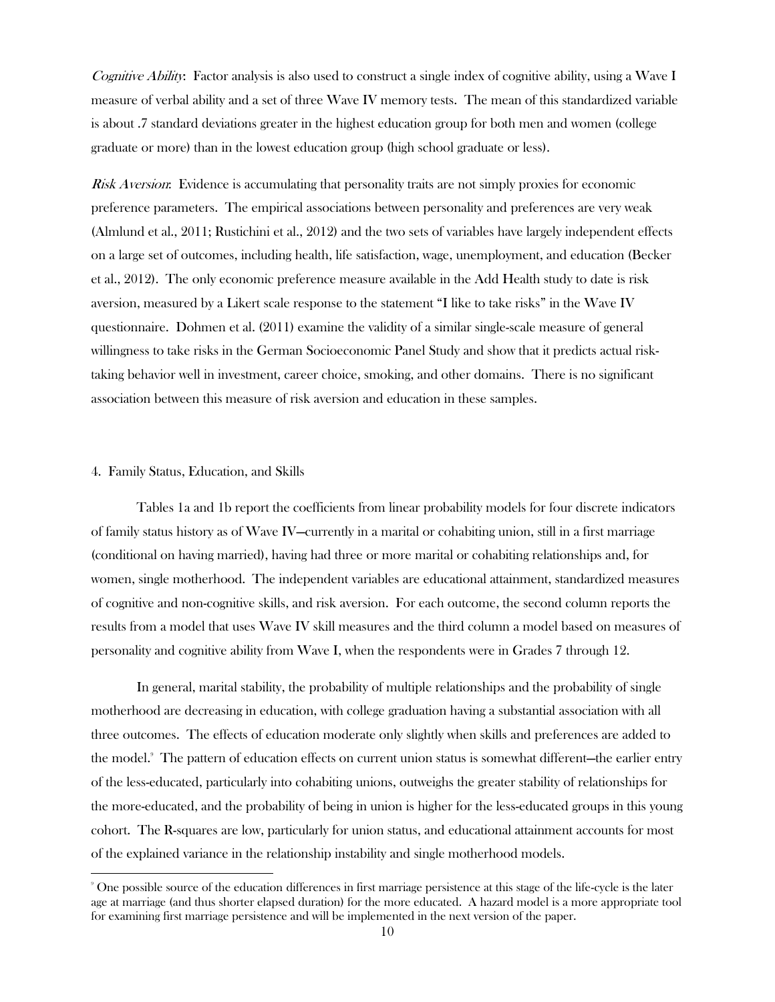Cognitive Ability: Factor analysis is also used to construct a single index of cognitive ability, using a Wave I measure of verbal ability and a set of three Wave IV memory tests. The mean of this standardized variable is about .7 standard deviations greater in the highest education group for both men and women (college graduate or more) than in the lowest education group (high school graduate or less).

Risk Aversion: Evidence is accumulating that personality traits are not simply proxies for economic preference parameters. The empirical associations between personality and preferences are very weak (Almlund et al., 2011; Rustichini et al., 2012) and the two sets of variables have largely independent effects on a large set of outcomes, including health, life satisfaction, wage, unemployment, and education (Becker et al., 2012). The only economic preference measure available in the Add Health study to date is risk aversion, measured by a Likert scale response to the statement "I like to take risks" in the Wave IV questionnaire. Dohmen et al. (2011) examine the validity of a similar single-scale measure of general willingness to take risks in the German Socioeconomic Panel Study and show that it predicts actual risktaking behavior well in investment, career choice, smoking, and other domains. There is no significant association between this measure of risk aversion and education in these samples.

#### 4. Family Status, Education, and Skills

 $\overline{\phantom{a}}$ 

Tables 1a and 1b report the coefficients from linear probability models for four discrete indicators of family status history as of Wave IV—currently in a marital or cohabiting union, still in a first marriage (conditional on having married), having had three or more marital or cohabiting relationships and, for women, single motherhood. The independent variables are educational attainment, standardized measures of cognitive and non-cognitive skills, and risk aversion. For each outcome, the second column reports the results from a model that uses Wave IV skill measures and the third column a model based on measures of personality and cognitive ability from Wave I, when the respondents were in Grades 7 through 12.

In general, marital stability, the probability of multiple relationships and the probability of single motherhood are decreasing in education, with college graduation having a substantial association with all three outcomes. The effects of education moderate only slightly when skills and preferences are added to the model.<sup>9</sup> The pattern of education effects on current union status is somewhat different—the earlier entry of the less-educated, particularly into cohabiting unions, outweighs the greater stability of relationships for the more-educated, and the probability of being in union is higher for the less-educated groups in this young cohort. The R-squares are low, particularly for union status, and educational attainment accounts for most of the explained variance in the relationship instability and single motherhood models.

<sup>9</sup> One possible source of the education differences in first marriage persistence at this stage of the life-cycle is the later age at marriage (and thus shorter elapsed duration) for the more educated. A hazard model is a more appropriate tool for examining first marriage persistence and will be implemented in the next version of the paper.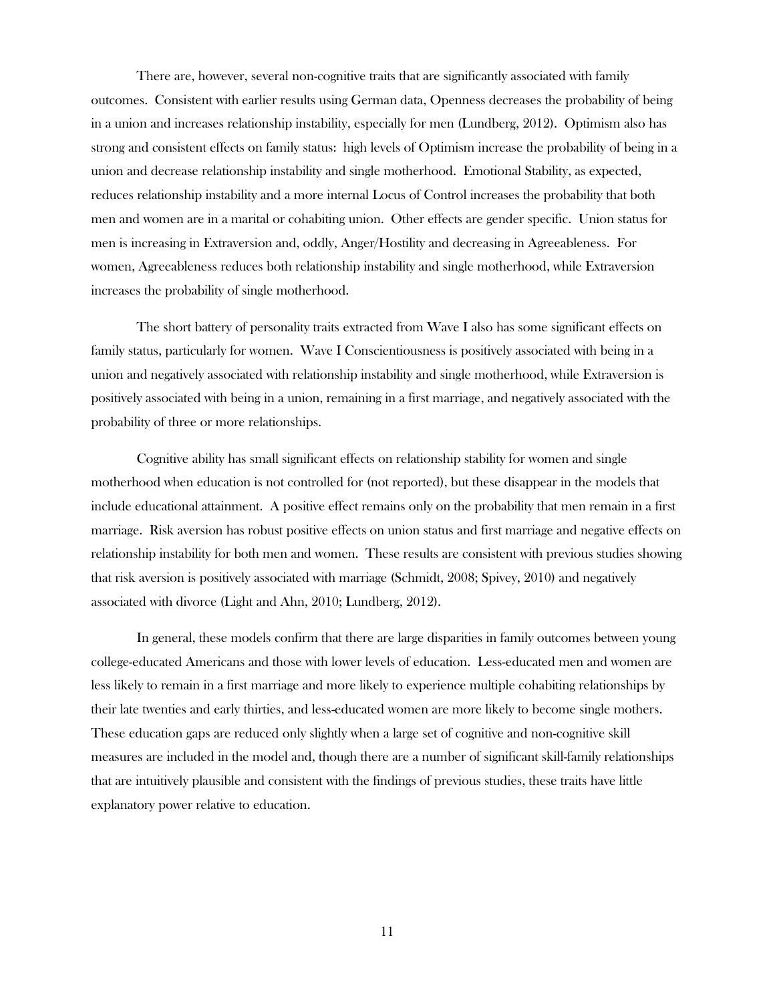There are, however, several non-cognitive traits that are significantly associated with family outcomes. Consistent with earlier results using German data, Openness decreases the probability of being in a union and increases relationship instability, especially for men (Lundberg, 2012). Optimism also has strong and consistent effects on family status: high levels of Optimism increase the probability of being in a union and decrease relationship instability and single motherhood. Emotional Stability, as expected, reduces relationship instability and a more internal Locus of Control increases the probability that both men and women are in a marital or cohabiting union. Other effects are gender specific. Union status for men is increasing in Extraversion and, oddly, Anger/Hostility and decreasing in Agreeableness. For women, Agreeableness reduces both relationship instability and single motherhood, while Extraversion increases the probability of single motherhood.

The short battery of personality traits extracted from Wave I also has some significant effects on family status, particularly for women. Wave I Conscientiousness is positively associated with being in a union and negatively associated with relationship instability and single motherhood, while Extraversion is positively associated with being in a union, remaining in a first marriage, and negatively associated with the probability of three or more relationships.

Cognitive ability has small significant effects on relationship stability for women and single motherhood when education is not controlled for (not reported), but these disappear in the models that include educational attainment. A positive effect remains only on the probability that men remain in a first marriage. Risk aversion has robust positive effects on union status and first marriage and negative effects on relationship instability for both men and women. These results are consistent with previous studies showing that risk aversion is positively associated with marriage (Schmidt, 2008; Spivey, 2010) and negatively associated with divorce (Light and Ahn, 2010; Lundberg, 2012).

In general, these models confirm that there are large disparities in family outcomes between young college-educated Americans and those with lower levels of education. Less-educated men and women are less likely to remain in a first marriage and more likely to experience multiple cohabiting relationships by their late twenties and early thirties, and less-educated women are more likely to become single mothers. These education gaps are reduced only slightly when a large set of cognitive and non-cognitive skill measures are included in the model and, though there are a number of significant skill-family relationships that are intuitively plausible and consistent with the findings of previous studies, these traits have little explanatory power relative to education.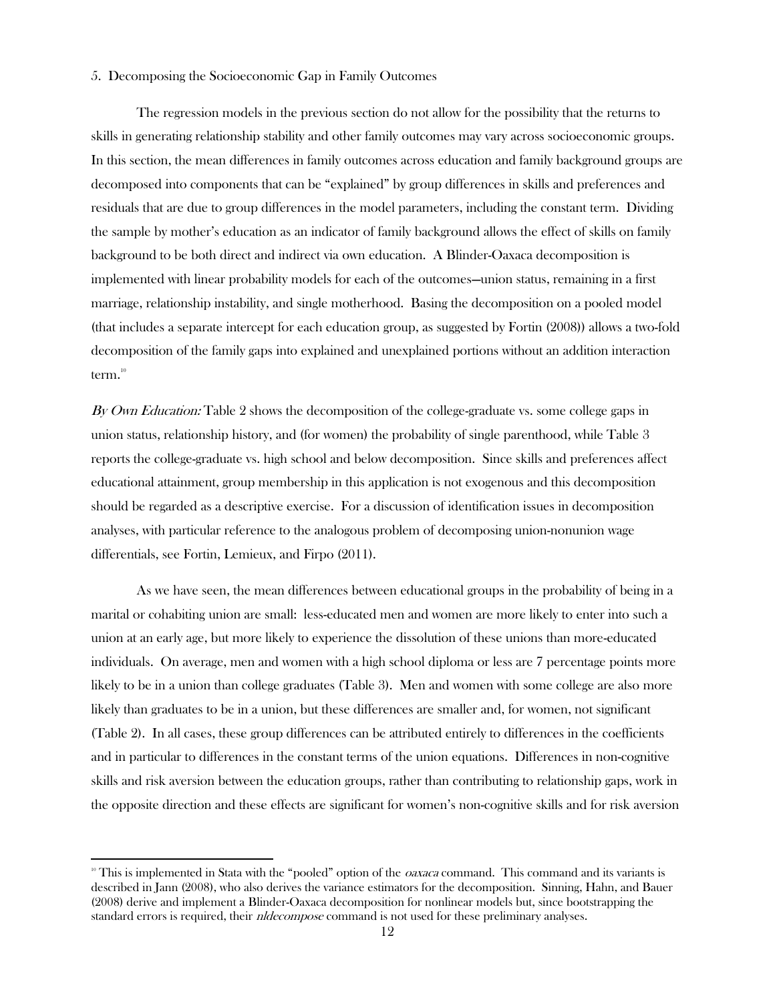### 5. Decomposing the Socioeconomic Gap in Family Outcomes

The regression models in the previous section do not allow for the possibility that the returns to skills in generating relationship stability and other family outcomes may vary across socioeconomic groups. In this section, the mean differences in family outcomes across education and family background groups are decomposed into components that can be "explained" by group differences in skills and preferences and residuals that are due to group differences in the model parameters, including the constant term. Dividing the sample by mother's education as an indicator of family background allows the effect of skills on family background to be both direct and indirect via own education. A Blinder-Oaxaca decomposition is implemented with linear probability models for each of the outcomes—union status, remaining in a first marriage, relationship instability, and single motherhood. Basing the decomposition on a pooled model (that includes a separate intercept for each education group, as suggested by Fortin (2008)) allows a two-fold decomposition of the family gaps into explained and unexplained portions without an addition interaction term. $^{^{\mathrm{10}}}$ 

By Own Education: Table 2 shows the decomposition of the college-graduate vs. some college gaps in union status, relationship history, and (for women) the probability of single parenthood, while Table 3 reports the college-graduate vs. high school and below decomposition. Since skills and preferences affect educational attainment, group membership in this application is not exogenous and this decomposition should be regarded as a descriptive exercise. For a discussion of identification issues in decomposition analyses, with particular reference to the analogous problem of decomposing union-nonunion wage differentials, see Fortin, Lemieux, and Firpo (2011).

As we have seen, the mean differences between educational groups in the probability of being in a marital or cohabiting union are small: less-educated men and women are more likely to enter into such a union at an early age, but more likely to experience the dissolution of these unions than more-educated individuals. On average, men and women with a high school diploma or less are 7 percentage points more likely to be in a union than college graduates (Table 3). Men and women with some college are also more likely than graduates to be in a union, but these differences are smaller and, for women, not significant (Table 2). In all cases, these group differences can be attributed entirely to differences in the coefficients and in particular to differences in the constant terms of the union equations. Differences in non-cognitive skills and risk aversion between the education groups, rather than contributing to relationship gaps, work in the opposite direction and these effects are significant for women's non-cognitive skills and for risk aversion

l

<sup>&</sup>lt;sup>10</sup> This is implemented in Stata with the "pooled" option of the *oaxaca* command. This command and its variants is described in Jann (2008), who also derives the variance estimators for the decomposition. Sinning, Hahn, and Bauer (2008) derive and implement a Blinder-Oaxaca decomposition for nonlinear models but, since bootstrapping the standard errors is required, their *nldecompose* command is not used for these preliminary analyses.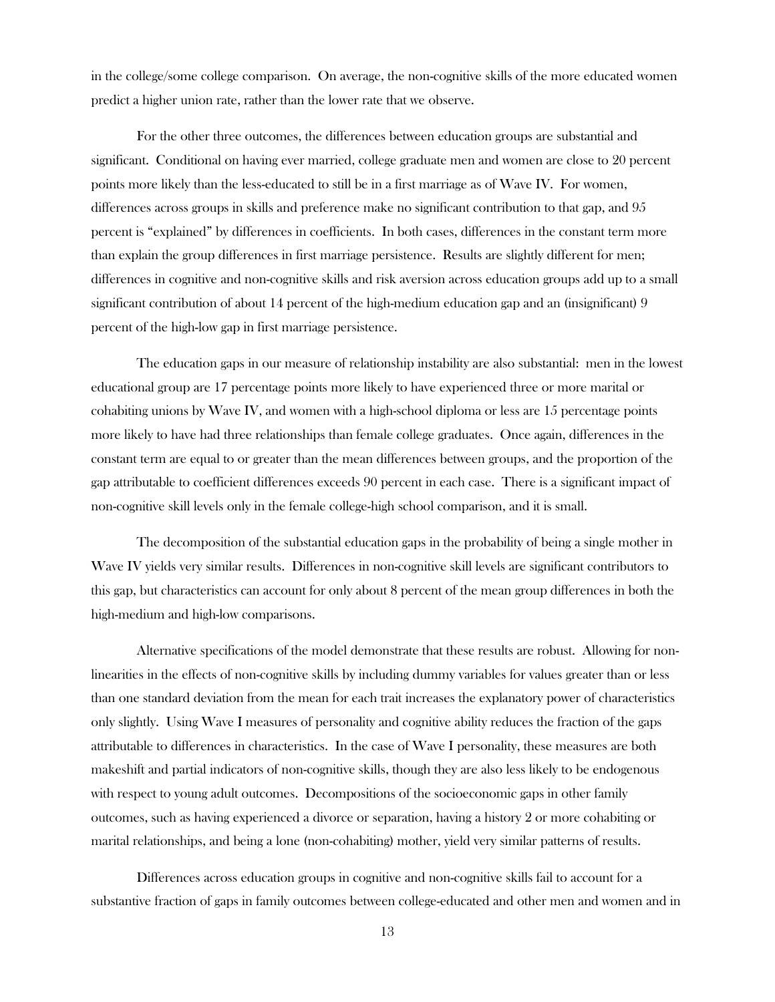in the college/some college comparison. On average, the non-cognitive skills of the more educated women predict a higher union rate, rather than the lower rate that we observe.

For the other three outcomes, the differences between education groups are substantial and significant. Conditional on having ever married, college graduate men and women are close to 20 percent points more likely than the less-educated to still be in a first marriage as of Wave IV. For women, differences across groups in skills and preference make no significant contribution to that gap, and 95 percent is "explained" by differences in coefficients. In both cases, differences in the constant term more than explain the group differences in first marriage persistence. Results are slightly different for men; differences in cognitive and non-cognitive skills and risk aversion across education groups add up to a small significant contribution of about 14 percent of the high-medium education gap and an (insignificant) 9 percent of the high-low gap in first marriage persistence.

The education gaps in our measure of relationship instability are also substantial: men in the lowest educational group are 17 percentage points more likely to have experienced three or more marital or cohabiting unions by Wave IV, and women with a high-school diploma or less are 15 percentage points more likely to have had three relationships than female college graduates. Once again, differences in the constant term are equal to or greater than the mean differences between groups, and the proportion of the gap attributable to coefficient differences exceeds 90 percent in each case. There is a significant impact of non-cognitive skill levels only in the female college-high school comparison, and it is small.

The decomposition of the substantial education gaps in the probability of being a single mother in Wave IV yields very similar results. Differences in non-cognitive skill levels are significant contributors to this gap, but characteristics can account for only about 8 percent of the mean group differences in both the high-medium and high-low comparisons.

Alternative specifications of the model demonstrate that these results are robust. Allowing for nonlinearities in the effects of non-cognitive skills by including dummy variables for values greater than or less than one standard deviation from the mean for each trait increases the explanatory power of characteristics only slightly. Using Wave I measures of personality and cognitive ability reduces the fraction of the gaps attributable to differences in characteristics. In the case of Wave I personality, these measures are both makeshift and partial indicators of non-cognitive skills, though they are also less likely to be endogenous with respect to young adult outcomes. Decompositions of the socioeconomic gaps in other family outcomes, such as having experienced a divorce or separation, having a history 2 or more cohabiting or marital relationships, and being a lone (non-cohabiting) mother, yield very similar patterns of results.

Differences across education groups in cognitive and non-cognitive skills fail to account for a substantive fraction of gaps in family outcomes between college-educated and other men and women and in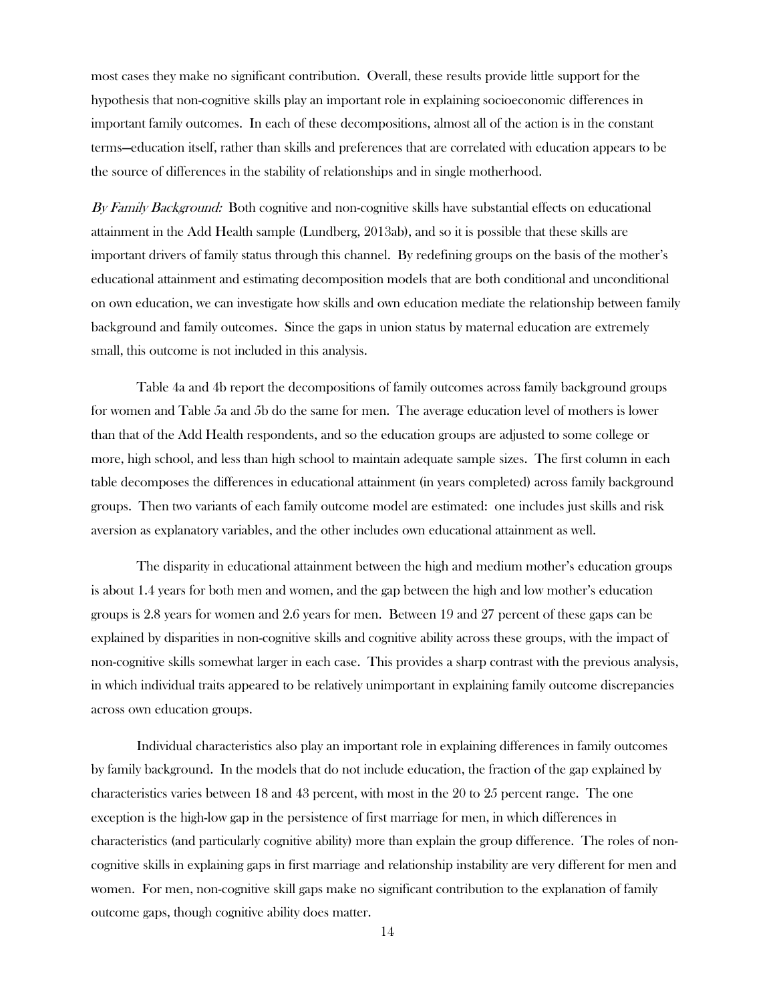most cases they make no significant contribution. Overall, these results provide little support for the hypothesis that non-cognitive skills play an important role in explaining socioeconomic differences in important family outcomes. In each of these decompositions, almost all of the action is in the constant terms—education itself, rather than skills and preferences that are correlated with education appears to be the source of differences in the stability of relationships and in single motherhood.

By Family Background: Both cognitive and non-cognitive skills have substantial effects on educational attainment in the Add Health sample (Lundberg, 2013ab), and so it is possible that these skills are important drivers of family status through this channel. By redefining groups on the basis of the mother's educational attainment and estimating decomposition models that are both conditional and unconditional on own education, we can investigate how skills and own education mediate the relationship between family background and family outcomes. Since the gaps in union status by maternal education are extremely small, this outcome is not included in this analysis.

Table 4a and 4b report the decompositions of family outcomes across family background groups for women and Table 5a and 5b do the same for men. The average education level of mothers is lower than that of the Add Health respondents, and so the education groups are adjusted to some college or more, high school, and less than high school to maintain adequate sample sizes. The first column in each table decomposes the differences in educational attainment (in years completed) across family background groups. Then two variants of each family outcome model are estimated: one includes just skills and risk aversion as explanatory variables, and the other includes own educational attainment as well.

The disparity in educational attainment between the high and medium mother's education groups is about 1.4 years for both men and women, and the gap between the high and low mother's education groups is 2.8 years for women and 2.6 years for men. Between 19 and 27 percent of these gaps can be explained by disparities in non-cognitive skills and cognitive ability across these groups, with the impact of non-cognitive skills somewhat larger in each case. This provides a sharp contrast with the previous analysis, in which individual traits appeared to be relatively unimportant in explaining family outcome discrepancies across own education groups.

Individual characteristics also play an important role in explaining differences in family outcomes by family background. In the models that do not include education, the fraction of the gap explained by characteristics varies between 18 and 43 percent, with most in the 20 to 25 percent range. The one exception is the high-low gap in the persistence of first marriage for men, in which differences in characteristics (and particularly cognitive ability) more than explain the group difference. The roles of noncognitive skills in explaining gaps in first marriage and relationship instability are very different for men and women. For men, non-cognitive skill gaps make no significant contribution to the explanation of family outcome gaps, though cognitive ability does matter.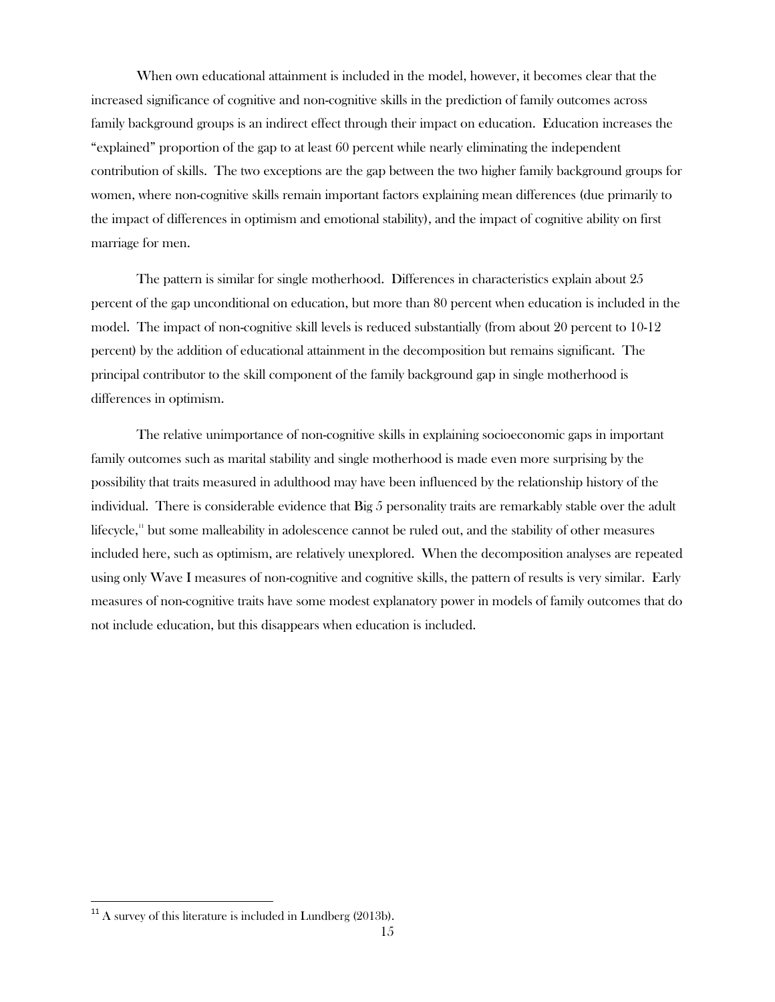When own educational attainment is included in the model, however, it becomes clear that the increased significance of cognitive and non-cognitive skills in the prediction of family outcomes across family background groups is an indirect effect through their impact on education. Education increases the "explained" proportion of the gap to at least 60 percent while nearly eliminating the independent contribution of skills. The two exceptions are the gap between the two higher family background groups for women, where non-cognitive skills remain important factors explaining mean differences (due primarily to the impact of differences in optimism and emotional stability), and the impact of cognitive ability on first marriage for men.

The pattern is similar for single motherhood. Differences in characteristics explain about 25 percent of the gap unconditional on education, but more than 80 percent when education is included in the model. The impact of non-cognitive skill levels is reduced substantially (from about 20 percent to 10-12 percent) by the addition of educational attainment in the decomposition but remains significant. The principal contributor to the skill component of the family background gap in single motherhood is differences in optimism.

The relative unimportance of non-cognitive skills in explaining socioeconomic gaps in important family outcomes such as marital stability and single motherhood is made even more surprising by the possibility that traits measured in adulthood may have been influenced by the relationship history of the individual. There is considerable evidence that Big 5 personality traits are remarkably stable over the adult lifecycle,<sup>11</sup> but some malleability in adolescence cannot be ruled out, and the stability of other measures included here, such as optimism, are relatively unexplored. When the decomposition analyses are repeated using only Wave I measures of non-cognitive and cognitive skills, the pattern of results is very similar. Early measures of non-cognitive traits have some modest explanatory power in models of family outcomes that do not include education, but this disappears when education is included.

 $\overline{\phantom{a}}$ 

 $^{11}$  A survey of this literature is included in Lundberg (2013b).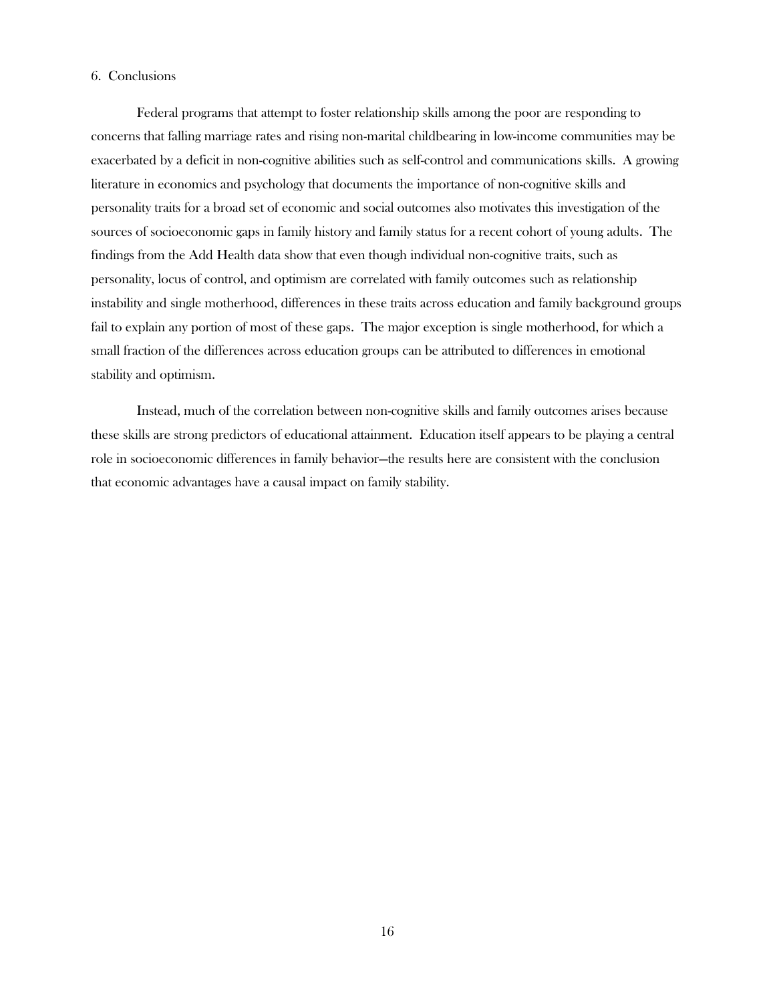#### 6. Conclusions

Federal programs that attempt to foster relationship skills among the poor are responding to concerns that falling marriage rates and rising non-marital childbearing in low-income communities may be exacerbated by a deficit in non-cognitive abilities such as self-control and communications skills. A growing literature in economics and psychology that documents the importance of non-cognitive skills and personality traits for a broad set of economic and social outcomes also motivates this investigation of the sources of socioeconomic gaps in family history and family status for a recent cohort of young adults. The findings from the Add Health data show that even though individual non-cognitive traits, such as personality, locus of control, and optimism are correlated with family outcomes such as relationship instability and single motherhood, differences in these traits across education and family background groups fail to explain any portion of most of these gaps. The major exception is single motherhood, for which a small fraction of the differences across education groups can be attributed to differences in emotional stability and optimism.

Instead, much of the correlation between non-cognitive skills and family outcomes arises because these skills are strong predictors of educational attainment. Education itself appears to be playing a central role in socioeconomic differences in family behavior—the results here are consistent with the conclusion that economic advantages have a causal impact on family stability.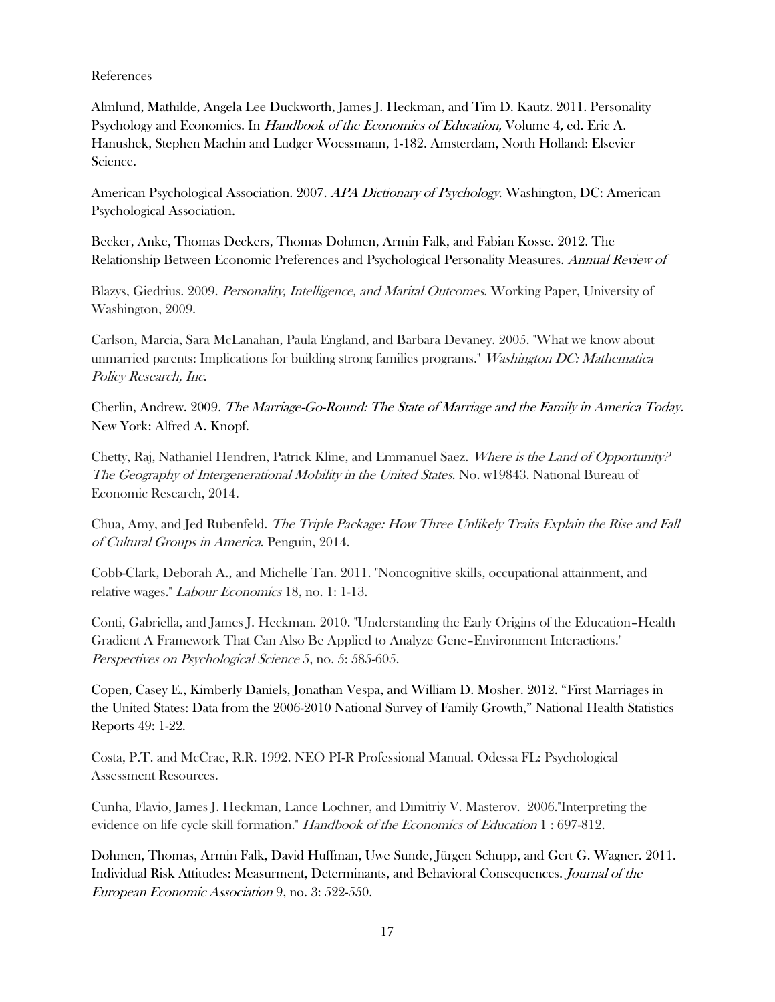### References

Almlund, Mathilde, Angela Lee Duckworth, James J. Heckman, and Tim D. Kautz. 2011. Personality Psychology and Economics. In Handbook of the Economics of Education, Volume 4, ed. Eric A. Hanushek, Stephen Machin and Ludger Woessmann, 1-182. Amsterdam, North Holland: Elsevier Science.

American Psychological Association. 2007. APA Dictionary of Psychology. Washington, DC: American Psychological Association.

Becker, Anke, Thomas Deckers, Thomas Dohmen, Armin Falk, and Fabian Kosse. 2012. The Relationship Between Economic Preferences and Psychological Personality Measures. Annual Review of

Blazys, Giedrius. 2009. Personality, Intelligence, and Marital Outcomes. Working Paper, University of Washington, 2009.

Carlson, Marcia, Sara McLanahan, Paula England, and Barbara Devaney. 2005. "What we know about unmarried parents: Implications for building strong families programs." Washington DC: Mathematica Policy Research, Inc.

Cherlin, Andrew. 2009. The Marriage-Go-Round: The State of Marriage and the Family in America Today. New York: Alfred A. Knopf.

Chetty, Raj, Nathaniel Hendren, Patrick Kline, and Emmanuel Saez. Where is the Land of Opportunity? The Geography of Intergenerational Mobility in the United States. No. w19843. National Bureau of Economic Research, 2014.

Chua, Amy, and Jed Rubenfeld. The Triple Package: How Three Unlikely Traits Explain the Rise and Fall of Cultural Groups in America. Penguin, 2014.

Cobb-Clark, Deborah A., and Michelle Tan. 2011. "Noncognitive skills, occupational attainment, and relative wages." Labour Economics 18, no. 1: 1-13.

Conti, Gabriella, and James J. Heckman. 2010. "Understanding the Early Origins of the Education–Health Gradient A Framework That Can Also Be Applied to Analyze Gene–Environment Interactions." Perspectives on Psychological Science 5, no. 5: 585-605.

Copen, Casey E., Kimberly Daniels, Jonathan Vespa, and William D. Mosher. 2012. "First Marriages in the United States: Data from the 2006-2010 National Survey of Family Growth," National Health Statistics Reports 49: 1-22.

Costa, P.T. and McCrae, R.R. 1992. NEO PI-R Professional Manual. Odessa FL: Psychological Assessment Resources.

Cunha, Flavio, James J. Heckman, Lance Lochner, and Dimitriy V. Masterov. 2006."Interpreting the evidence on life cycle skill formation." *Handbook of the Economics of Education* 1:697-812.

Dohmen, Thomas, Armin Falk, David Huffman, Uwe Sunde, Jürgen Schupp, and Gert G. Wagner. 2011. Individual Risk Attitudes: Measurment, Determinants, and Behavioral Consequences. Journal of the European Economic Association 9, no. 3: 522-550.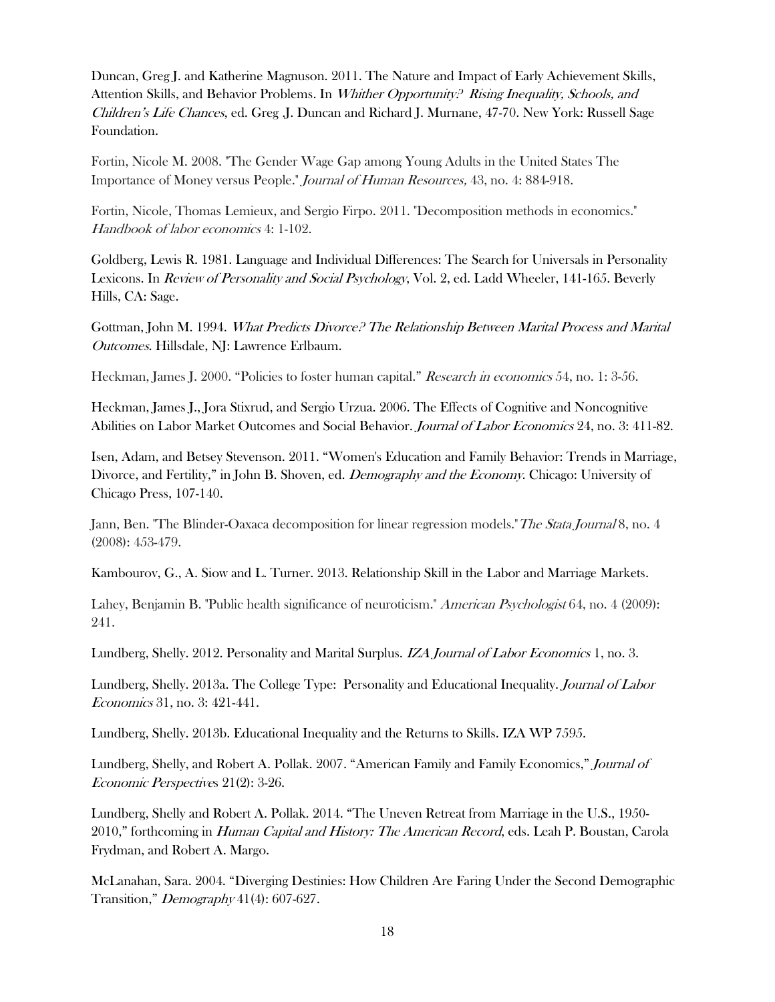Duncan, Greg J. and Katherine Magnuson. 2011. The Nature and Impact of Early Achievement Skills, Attention Skills, and Behavior Problems. In Whither Opportunity? Rising Inequality, Schools, and Children's Life Chances, ed. Greg .J. Duncan and Richard J. Murnane, 47-70. New York: Russell Sage Foundation.

Fortin, Nicole M. 2008. "The Gender Wage Gap among Young Adults in the United States The Importance of Money versus People." Journal of Human Resources, 43, no. 4: 884-918.

Fortin, Nicole, Thomas Lemieux, and Sergio Firpo. 2011. "Decomposition methods in economics." Handbook of labor economics 4: 1-102.

Goldberg, Lewis R. 1981. Language and Individual Differences: The Search for Universals in Personality Lexicons. In *Review of Personality and Social Psychology*, Vol. 2, ed. Ladd Wheeler, 141-165. Beverly Hills, CA: Sage.

Gottman, John M. 1994. What Predicts Divorce? The Relationship Between Marital Process and Marital Outcomes. Hillsdale, NJ: Lawrence Erlbaum.

Heckman, James J. 2000. "Policies to foster human capital." Research in economics 54, no. 1: 3-56.

Heckman, James J., Jora Stixrud, and Sergio Urzua. 2006. The Effects of Cognitive and Noncognitive Abilities on Labor Market Outcomes and Social Behavior. Journal of Labor Economics 24, no. 3: 411-82.

Isen, Adam, and Betsey Stevenson. 2011. "Women's Education and Family Behavior: Trends in Marriage, Divorce, and Fertility," in John B. Shoven, ed. *Demography and the Economy*. Chicago: University of Chicago Press, 107-140.

Jann, Ben. "The Blinder-Oaxaca decomposition for linear regression models."The Stata Journal 8, no. 4 (2008): 453-479.

Kambourov, G., A. Siow and L. Turner. 2013. Relationship Skill in the Labor and Marriage Markets.

Lahey, Benjamin B. "Public health significance of neuroticism." American Psychologist 64, no. 4 (2009): 241.

Lundberg, Shelly. 2012. Personality and Marital Surplus. IZA Journal of Labor Economics 1, no. 3.

Lundberg, Shelly. 2013a. The College Type: Personality and Educational Inequality. Journal of Labor Economics 31, no. 3: 421-441.

Lundberg, Shelly. 2013b. Educational Inequality and the Returns to Skills. IZA WP 7595.

Lundberg, Shelly, and Robert A. Pollak. 2007. "American Family and Family Economics," Journal of Economic Perspectives 21(2): 3-26.

Lundberg, Shelly and Robert A. Pollak. 2014. "The Uneven Retreat from Marriage in the U.S., 1950- 2010," forthcoming in *Human Capital and History: The American Record*, eds. Leah P. Boustan, Carola Frydman, and Robert A. Margo.

McLanahan, Sara. 2004. "Diverging Destinies: How Children Are Faring Under the Second Demographic Transition," Demography 41(4): 607-627.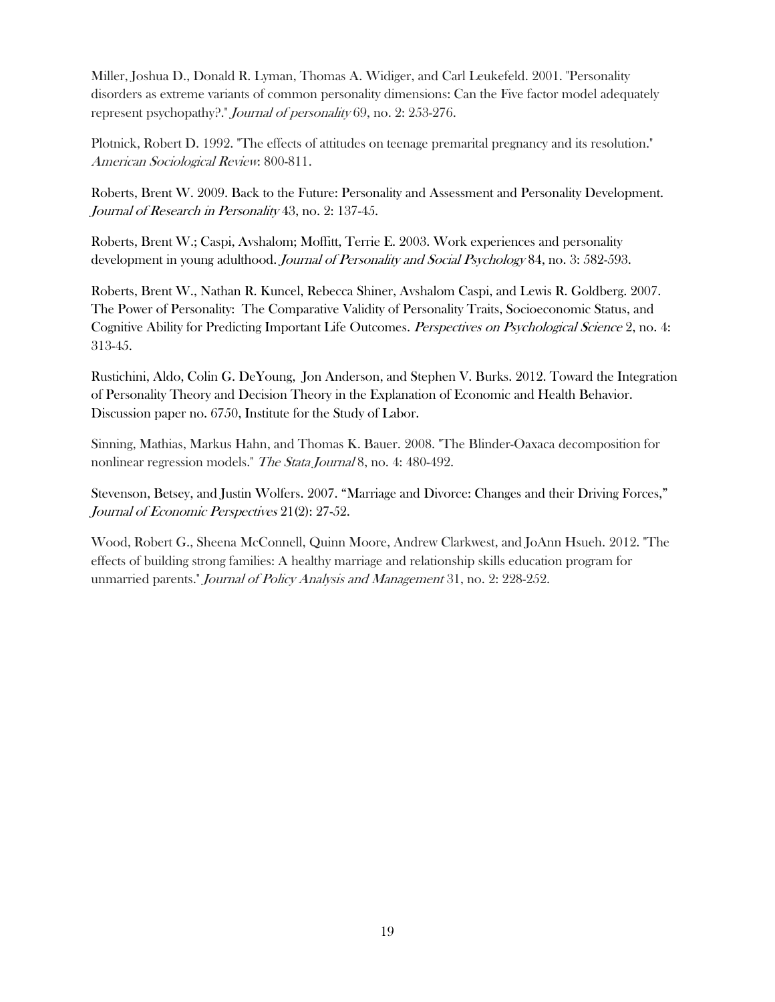Miller, Joshua D., Donald R. Lyman, Thomas A. Widiger, and Carl Leukefeld. 2001. "Personality disorders as extreme variants of common personality dimensions: Can the Five factor model adequately represent psychopathy?." Journal of personality 69, no. 2: 253-276.

Plotnick, Robert D. 1992. "The effects of attitudes on teenage premarital pregnancy and its resolution." American Sociological Review: 800-811.

Roberts, Brent W. 2009. Back to the Future: Personality and Assessment and Personality Development. Journal of Research in Personality 43, no. 2: 137-45.

Roberts, Brent W.; Caspi, Avshalom; Moffitt, Terrie E. 2003. Work experiences and personality development in young adulthood. *Journal of Personality and Social Psychology* 84, no. 3: 582-593.

Roberts, Brent W., Nathan R. Kuncel, Rebecca Shiner, Avshalom Caspi, and Lewis R. Goldberg. 2007. The Power of Personality: The Comparative Validity of Personality Traits, Socioeconomic Status, and Cognitive Ability for Predicting Important Life Outcomes. Perspectives on Psychological Science 2, no. 4: 313-45.

Rustichini, Aldo, Colin G. DeYoung, Jon Anderson, and Stephen V. Burks. 2012. Toward the Integration of Personality Theory and Decision Theory in the Explanation of Economic and Health Behavior. Discussion paper no. 6750, Institute for the Study of Labor.

Sinning, Mathias, Markus Hahn, and Thomas K. Bauer. 2008. "The Blinder-Oaxaca decomposition for nonlinear regression models." The Stata Journal 8, no. 4: 480-492.

Stevenson, Betsey, and Justin Wolfers. 2007. "Marriage and Divorce: Changes and their Driving Forces," Journal of Economic Perspectives 21(2): 27-52.

Wood, Robert G., Sheena McConnell, Quinn Moore, Andrew Clarkwest, and JoAnn Hsueh. 2012. "The effects of building strong families: A healthy marriage and relationship skills education program for unmarried parents." Journal of Policy Analysis and Management 31, no. 2: 228-252.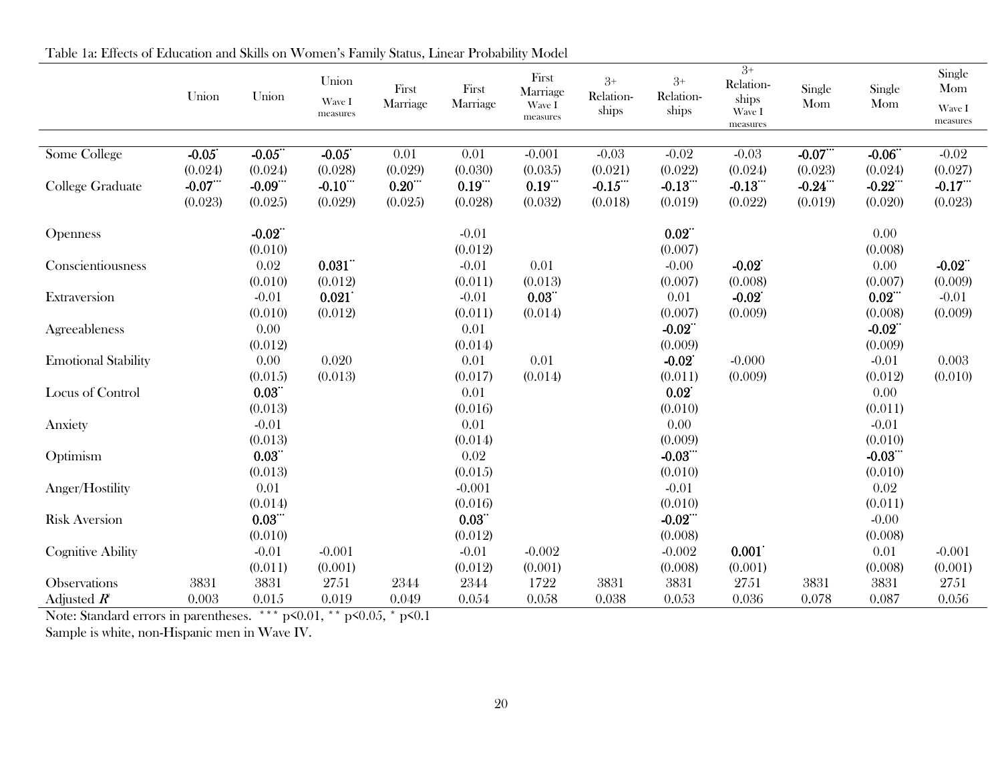|                            |           |          |          |          |          |                   |                    |                    | $3^{+}$            |         |           | Single   |
|----------------------------|-----------|----------|----------|----------|----------|-------------------|--------------------|--------------------|--------------------|---------|-----------|----------|
|                            |           |          | Union    | First    | First    | First<br>Marriage | $3+$               | $3+$               | Relation-          | Single  | Single    | Mom      |
|                            | Union     | Union    | Wave I   | Marriage | Marriage | Wave I            | Relation-<br>ships | Relation-<br>ships | ships              | Mom     | Mom       | Wave I   |
|                            |           |          | measures |          |          | measures          |                    |                    | Wave I<br>measures |         |           | measures |
|                            |           |          |          |          |          |                   |                    |                    |                    |         |           |          |
| Some College               | $-0.05$   | $-0.05$  | $-0.05$  | 0.01     | 0.01     | $-0.001$          | $-0.03$            | $-0.02$            | $-0.03$            | $-0.07$ | $-0.06$   | $-0.02$  |
|                            | (0.024)   | (0.024)  | (0.028)  | (0.029)  | (0.030)  | (0.035)           | (0.021)            | (0.022)            | (0.024)            | (0.023) | (0.024)   | (0.027)  |
| College Graduate           | $-0.07$ . | $-0.09$  | $-0.10$  | 0.20     | 0.19     | 0.19              | $-0.15$            | $-0.13$            | $-0.13$            | $-0.24$ | $-0.22$   | $-0.17$  |
|                            | (0.023)   | (0.025)  | (0.029)  | (0.025)  | (0.028)  | (0.032)           | (0.018)            | (0.019)            | (0.022)            | (0.019) | (0.020)   | (0.023)  |
| <b>Openness</b>            |           | $-0.02$  |          |          | $-0.01$  |                   |                    | 0.02               |                    |         | 0.00      |          |
|                            |           | (0.010)  |          |          | (0.012)  |                   |                    | (0.007)            |                    |         | (0.008)   |          |
| Conscientiousness          |           | 0.02     | 0.031    |          | $-0.01$  | 0.01              |                    | $-0.00$            | $-0.02$            |         | 0.00      | $-0.02$  |
|                            |           | (0.010)  | (0.012)  |          | (0.011)  | (0.013)           |                    | (0.007)            | (0.008)            |         | (0.007)   | (0.009)  |
| Extraversion               |           | $-0.01$  | 0.021    |          | $-0.01$  | 0.03              |                    | 0.01               | $-0.02$            |         | 0.02      | $-0.01$  |
|                            |           | (0.010)  | (0.012)  |          | (0.011)  | (0.014)           |                    | (0.007)            | (0.009)            |         | (0.008)   | (0.009)  |
| Agreeableness              |           | 0.00     |          |          | 0.01     |                   |                    | $-0.02$            |                    |         | $-0.02$   |          |
|                            |           | (0.012)  |          |          | (0.014)  |                   |                    | (0.009)            |                    |         | (0.009)   |          |
| <b>Emotional Stability</b> |           | 0.00     | 0.020    |          | 0.01     | 0.01              |                    | $-0.02$            | $-0.000$           |         | $-0.01$   | 0.003    |
|                            |           | (0.015)  | (0.013)  |          | (0.017)  | (0.014)           |                    | (0.011)            | (0.009)            |         | (0.012)   | (0.010)  |
| Locus of Control           |           | 0.03     |          |          | 0.01     |                   |                    | 0.02               |                    |         | 0.00      |          |
|                            |           | (0.013)  |          |          | (0.016)  |                   |                    | (0.010)            |                    |         | (0.011)   |          |
| Anxiety                    |           | $-0.01$  |          |          | 0.01     |                   |                    | 0.00               |                    |         | $-0.01$   |          |
|                            |           | (0.013)  |          |          | (0.014)  |                   |                    | (0.009)            |                    |         | (0.010)   |          |
| Optimism                   |           | 0.03     |          |          | 0.02     |                   |                    | $-0.03$            |                    |         | $-0.03$ . |          |
|                            |           | (0.013)  |          |          | (0.015)  |                   |                    | (0.010)            |                    |         | (0.010)   |          |
| Anger/Hostility            |           | 0.01     |          |          | $-0.001$ |                   |                    | $-0.01$            |                    |         | 0.02      |          |
|                            |           | (0.014)  |          |          | (0.016)  |                   |                    | (0.010)            |                    |         | (0.011)   |          |
| <b>Risk Aversion</b>       |           | $0.03$ . |          |          | 0.03     |                   |                    | $-0.02$ .          |                    |         | $-0.00$   |          |
|                            |           | (0.010)  |          |          | (0.012)  |                   |                    | (0.008)            |                    |         | (0.008)   |          |
| <b>Cognitive Ability</b>   |           | $-0.01$  | $-0.001$ |          | $-0.01$  | $-0.002$          |                    | $-0.002$           | 0.001              |         | 0.01      | $-0.001$ |
|                            |           | (0.011)  | (0.001)  |          | (0.012)  | (0.001)           |                    | (0.008)            | (0.001)            |         | (0.008)   | (0.001)  |
| Observations               | 3831      | 3831     | 2751     | 2344     | 2344     | 1722              | 3831               | 3831               | 2751               | 3831    | 3831      | 2751     |
| Adjusted $R^e$             | 0.003     | 0.015    | 0.019    | 0.049    | 0.054    | 0.058             | 0.038              | 0.053              | 0.036              | 0.078   | 0.087     | 0.056    |

Table 1a: Effects of Education and Skills on Women's Family Status, Linear Probability Model

Note: Standard errors in parentheses. \*\*\* p<0.01, \*\* p<0.05, \* p<0.1

Sample is white, non-Hispanic men in Wave IV.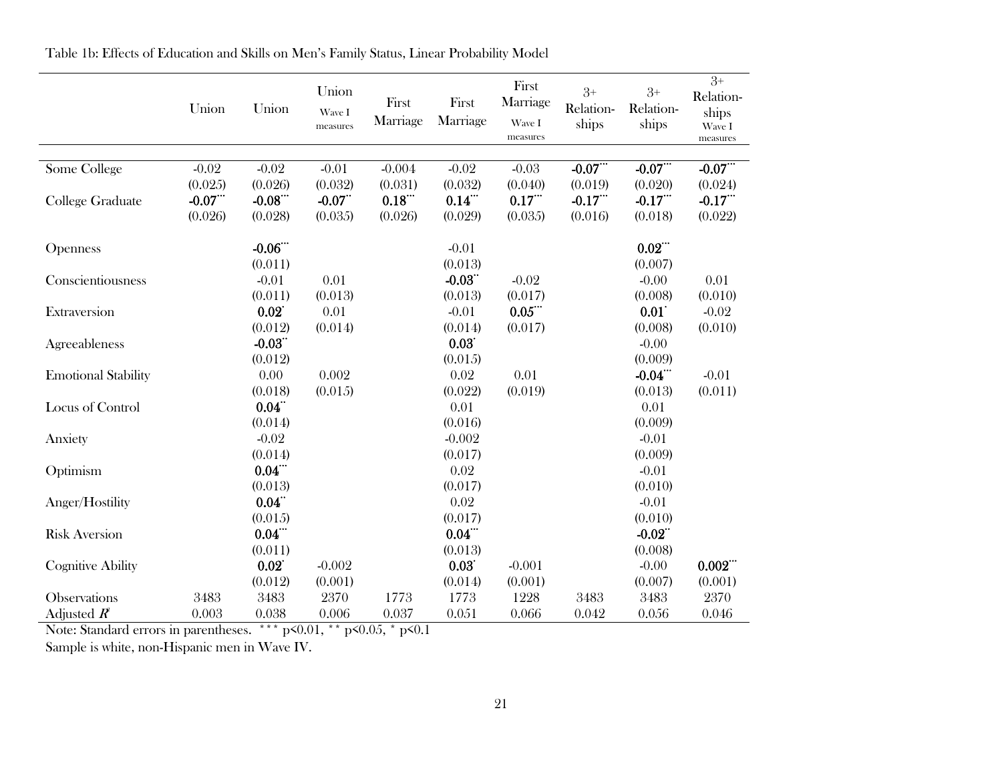|                            | Union   | Union    | Union<br>Wave I<br>measures | First<br>Marriage   | First<br>Marriage | First<br>Marriage<br>Wave I<br>measures | $3+$<br>Relation-<br>ships | $3+$<br>Relation-<br>ships | $\overline{3+}$<br>Relation-<br>ships<br>Wave I<br>measures |
|----------------------------|---------|----------|-----------------------------|---------------------|-------------------|-----------------------------------------|----------------------------|----------------------------|-------------------------------------------------------------|
| Some College               | $-0.02$ | $-0.02$  | $-0.01$                     | $-0.004$            | $-0.02$           | $-0.03$                                 | $-0.07$                    | $-0.07$ .                  | $-0.07$ .                                                   |
|                            | (0.025) | (0.026)  | (0.032)                     | (0.031)             | (0.032)           | (0.040)                                 | (0.019)                    | (0.020)                    | (0.024)                                                     |
|                            | $-0.07$ | $-0.08$  | $-0.07$                     | $0.18$ <sup>"</sup> | $0.14$ .          | 0.17                                    | $-0.17$                    | $-0.17$                    | $-0.17$ <sup>"</sup>                                        |
| College Graduate           | (0.026) | (0.028)  | (0.035)                     | (0.026)             | (0.029)           | (0.035)                                 | (0.016)                    | (0.018)                    | (0.022)                                                     |
| Openness                   |         | $-0.06$  |                             |                     | $-0.01$           |                                         |                            | $0.02$ .                   |                                                             |
|                            |         | (0.011)  |                             |                     | (0.013)           |                                         |                            | (0.007)                    |                                                             |
| Conscientiousness          |         | $-0.01$  | 0.01                        |                     | $-0.03$           | $-0.02$                                 |                            | $-0.00$                    | 0.01                                                        |
|                            |         | (0.011)  | (0.013)                     |                     | (0.013)           | (0.017)                                 |                            | (0.008)                    | (0.010)                                                     |
| Extraversion               |         | 0.02     | 0.01                        |                     | $-0.01$           | $0.05$ .                                |                            | 0.01                       | $-0.02$                                                     |
|                            |         | (0.012)  | (0.014)                     |                     | (0.014)           | (0.017)                                 |                            | (0.008)                    | (0.010)                                                     |
| Agreeableness              |         | $-0.03$  |                             |                     | 0.03              |                                         |                            | $-0.00$                    |                                                             |
|                            |         | (0.012)  |                             |                     | (0.015)           |                                         |                            | (0.009)                    |                                                             |
| <b>Emotional Stability</b> |         | 0.00     | 0.002                       |                     | 0.02              | 0.01                                    |                            | $-0.04$ <sup>"</sup>       | $-0.01$                                                     |
|                            |         | (0.018)  | (0.015)                     |                     | (0.022)           | (0.019)                                 |                            | (0.013)                    | (0.011)                                                     |
| Locus of Control           |         | 0.04     |                             |                     | 0.01              |                                         |                            | 0.01                       |                                                             |
|                            |         | (0.014)  |                             |                     | (0.016)           |                                         |                            | (0.009)                    |                                                             |
| Anxiety                    |         | $-0.02$  |                             |                     | $-0.002$          |                                         |                            | $-0.01$                    |                                                             |
|                            |         | (0.014)  |                             |                     | (0.017)           |                                         |                            | (0.009)                    |                                                             |
| Optimism                   |         | $0.04$ . |                             |                     | 0.02              |                                         |                            | $-0.01$                    |                                                             |
|                            |         | (0.013)  |                             |                     | (0.017)           |                                         |                            | (0.010)                    |                                                             |
| Anger/Hostility            |         | 0.04     |                             |                     | 0.02              |                                         |                            | $-0.01$                    |                                                             |
|                            |         | (0.015)  |                             |                     | (0.017)           |                                         |                            | (0.010)                    |                                                             |
| <b>Risk Aversion</b>       |         | $0.04$ . |                             |                     | $0.04$ .          |                                         |                            | $-0.02$                    |                                                             |
|                            |         | (0.011)  |                             |                     | (0.013)           |                                         |                            | (0.008)                    |                                                             |
| <b>Cognitive Ability</b>   |         | 0.02     | $-0.002$                    |                     | 0.03              | $-0.001$                                |                            | $-0.00$                    | $0.002$ "                                                   |
|                            |         | (0.012)  | (0.001)                     |                     | (0.014)           | (0.001)                                 |                            | (0.007)                    | (0.001)                                                     |
| <b>Observations</b>        | 3483    | 3483     | 2370                        | 1773                | 1773              | 1228                                    | 3483                       | 3483                       | 2370                                                        |
| Adjusted $R^2$             | 0.003   | 0.038    | 0.006                       | 0.037               | 0.051             | 0.066                                   | 0.042                      | 0.056                      | 0.046                                                       |

Table 1b: Effects of Education and Skills on Men's Family Status, Linear Probability Model

Note: Standard errors in parentheses. \*\*\* p<0.01, \*\* p<0.05, \* p<0.1

Sample is white, non-Hispanic men in Wave IV.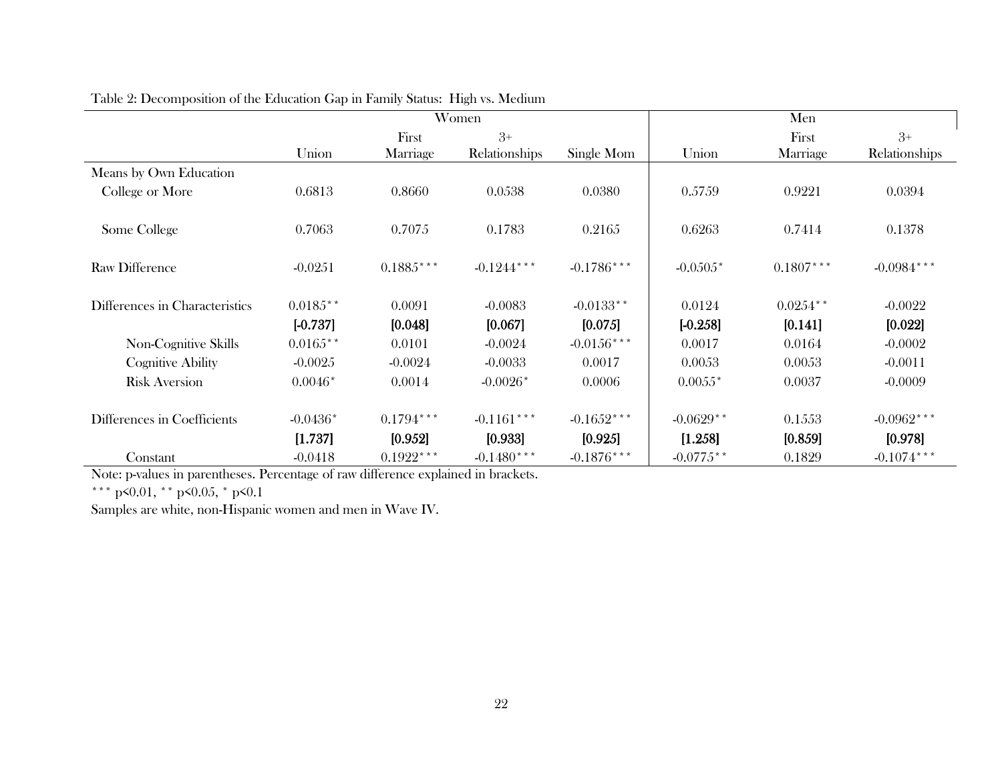|                                |            | Women       |               |               |             | Men         |               |  |  |
|--------------------------------|------------|-------------|---------------|---------------|-------------|-------------|---------------|--|--|
|                                |            | First       | $3+$          |               |             | First       | $3+$          |  |  |
|                                | Union      | Marriage    | Relationships | Single Mom    | Union       | Marriage    | Relationships |  |  |
| Means by Own Education         |            |             |               |               |             |             |               |  |  |
| College or More                | 0.6813     | 0.8660      | 0.0538        | 0.0380        | 0.5759      | 0.9221      | 0.0394        |  |  |
| Some College                   | 0.7063     | 0.7075      | 0.1783        | 0.2165        | 0.6263      | 0.7414      | 0.1378        |  |  |
| <b>Raw Difference</b>          | $-0.0251$  | $0.1885***$ | $-0.1244$ *** | $-0.1786$ *** | $-0.0505*$  | $0.1807***$ | $-0.0984$ *** |  |  |
| Differences in Characteristics | $0.0185**$ | 0.0091      | $-0.0083$     | $-0.0133**$   | 0.0124      | $0.0254$ ** | $-0.0022$     |  |  |
|                                | $[-0.737]$ | [0.048]     | [0.067]       | [0.075]       | $[-0.258]$  | [0.141]     | [0.022]       |  |  |
| Non-Cognitive Skills           | $0.0165**$ | 0.0101      | $-0.0024$     | $-0.0156***$  | 0.0017      | 0.0164      | $-0.0002$     |  |  |
| <b>Cognitive Ability</b>       | $-0.0025$  | $-0.0024$   | $-0.0033$     | 0.0017        | 0.0053      | 0.0053      | $-0.0011$     |  |  |
| <b>Risk Aversion</b>           | $0.0046*$  | 0.0014      | $-0.0026*$    | 0.0006        | $0.0055*$   | 0.0037      | $-0.0009$     |  |  |
| Differences in Coefficients    | $-0.0436*$ | $0.1794***$ | $-0.1161***$  | $-0.1652***$  | $-0.0629**$ | 0.1553      | $-0.0962***$  |  |  |
|                                | [1.737]    | [0.952]     | [0.933]       | [0.925]       | [1.258]     | [0.859]     | [0.978]       |  |  |
| Constant                       | $-0.0418$  | $0.1922***$ | $-0.1480***$  | $-0.1876***$  | $-0.0775**$ | 0.1829      | $-0.1074***$  |  |  |

Table 2: Decomposition of the Education Gap in Family Status: High vs. Medium

Note: p-values in parentheses. Percentage of raw difference explained in brackets.

 $^{\ast\,*\,*}$  p<0.01,  $^{\ast\,*}$  p<0.05,  $^{\ast}$  p<0.1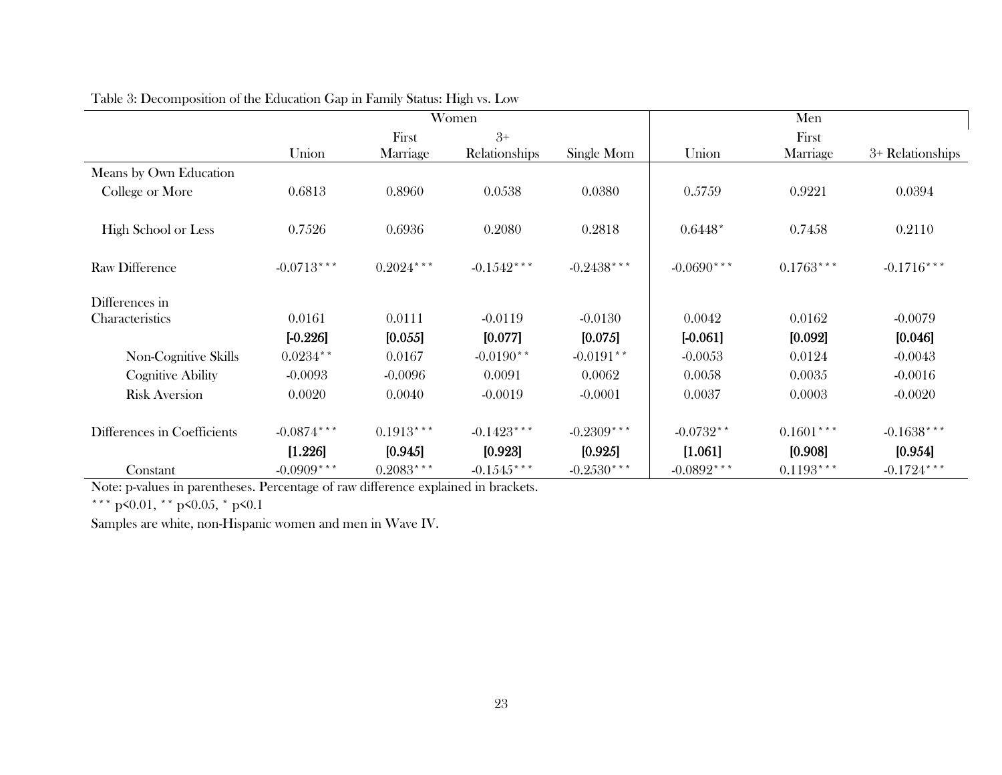|                             |               |             | Women         |              | Men          |             |                  |  |
|-----------------------------|---------------|-------------|---------------|--------------|--------------|-------------|------------------|--|
|                             |               | First       | $3+$          |              |              | First       |                  |  |
|                             | Union         | Marriage    | Relationships | Single Mom   | Union        | Marriage    | 3+ Relationships |  |
| Means by Own Education      |               |             |               |              |              |             |                  |  |
| College or More             | 0.6813        | 0.8960      | 0.0538        | 0.0380       | 0.5759       | 0.9221      | 0.0394           |  |
| High School or Less         | 0.7526        | 0.6936      | 0.2080        | 0.2818       | $0.6448*$    | 0.7458      | 0.2110           |  |
| <b>Raw Difference</b>       | $-0.0713***$  | $0.2024***$ | $-0.1542***$  | $-0.2438***$ | $-0.0690***$ | $0.1763***$ | $-0.1716***$     |  |
| Differences in              |               |             |               |              |              |             |                  |  |
| Characteristics             | 0.0161        | 0.0111      | $-0.0119$     | $-0.0130$    | 0.0042       | 0.0162      | $-0.0079$        |  |
|                             | $[-0.226]$    | [0.055]     | [0.077]       | [0.075]      | $[-0.061]$   | [0.092]     | [0.046]          |  |
| Non-Cognitive Skills        | $0.0234**$    | 0.0167      | $-0.0190**$   | $-0.0191**$  | $-0.0053$    | 0.0124      | $-0.0043$        |  |
| <b>Cognitive Ability</b>    | $-0.0093$     | $-0.0096$   | 0.0091        | 0.0062       | 0.0058       | 0.0035      | $-0.0016$        |  |
| <b>Risk Aversion</b>        | 0.0020        | 0.0040      | $-0.0019$     | $-0.0001$    | 0.0037       | 0.0003      | $-0.0020$        |  |
| Differences in Coefficients | $-0.0874$ *** | $0.1913***$ | $-0.1423***$  | $-0.2309***$ | $-0.0732**$  | $0.1601***$ | $-0.1638***$     |  |
|                             | [1.226]       | [0.945]     | [0.923]       | [0.925]      | [1.061]      | [0.908]     | [0.954]          |  |
| Constant                    | $-0.0909***$  | $0.2083***$ | $-0.1545***$  | $-0.2530***$ | $-0.0892***$ | $0.1193***$ | $-0.1724$ ***    |  |

|  |  |  |  |  | Table 3: Decomposition of the Education Gap in Family Status: High vs. Low |  |
|--|--|--|--|--|----------------------------------------------------------------------------|--|
|  |  |  |  |  |                                                                            |  |

Note: p-values in parentheses. Percentage of raw difference explained in brackets.

\*\*\* p<0.01, \*\* p<0.05, \* p<0.1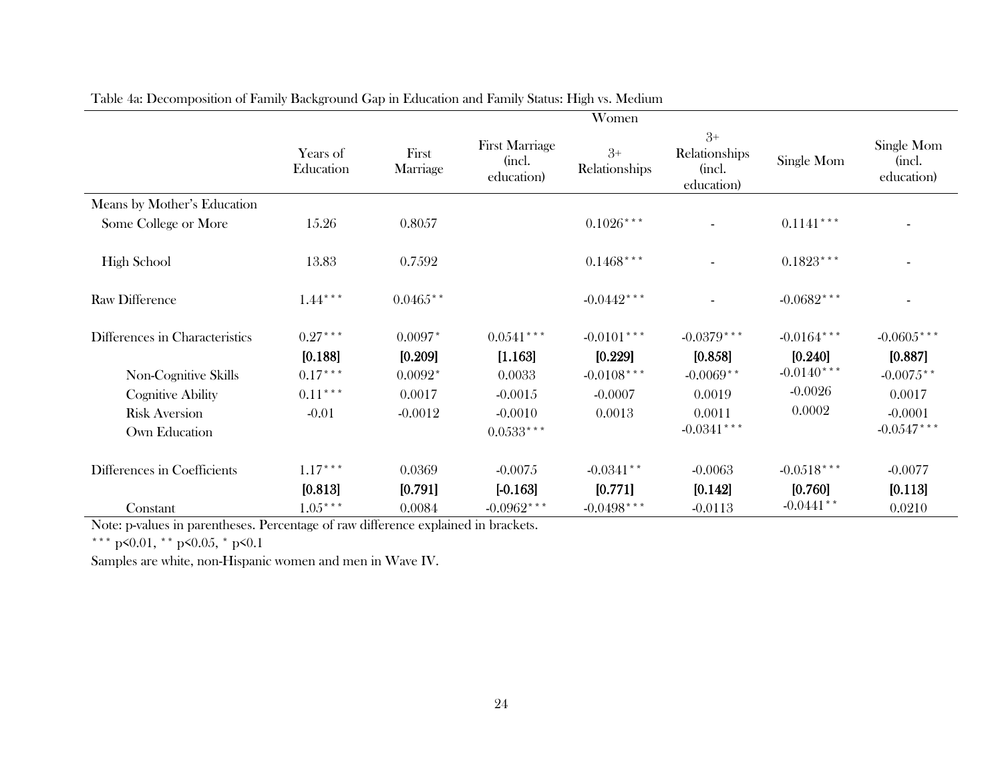|                                | Women                 |                      |                                               |                         |                                               |                         |                                    |  |
|--------------------------------|-----------------------|----------------------|-----------------------------------------------|-------------------------|-----------------------------------------------|-------------------------|------------------------------------|--|
|                                | Years of<br>Education | First<br>Marriage    | <b>First Marriage</b><br>(incl.<br>education) | $3+$<br>Relationships   | $3+$<br>Relationships<br>(incl.<br>education) | Single Mom              | Single Mom<br>(incl.<br>education) |  |
| Means by Mother's Education    |                       |                      |                                               |                         |                                               |                         |                                    |  |
| Some College or More           | 15.26                 | 0.8057               |                                               | $0.1026***$             |                                               | $0.1141***$             |                                    |  |
| <b>High School</b>             | 13.83                 | 0.7592               |                                               | $0.1468***$             |                                               | $0.1823***$             |                                    |  |
| <b>Raw Difference</b>          | $1.44***$             | $0.0465**$           |                                               | $-0.0442***$            |                                               | $-0.0682***$            |                                    |  |
| Differences in Characteristics | $0.27***$<br>[0.188]  | $0.0097*$<br>[0.209] | $0.0541***$<br>[1.163]                        | $-0.0101***$<br>[0.229] | $-0.0379***$<br>[0.858]                       | $-0.0164***$<br>[0.240] | $-0.0605***$<br>[0.887]            |  |
| Non-Cognitive Skills           | $0.17***$             | $0.0092*$            | 0.0033                                        | $-0.0108***$            | $-0.0069**$                                   | $-0.0140***$            | $-0.0075**$                        |  |
| <b>Cognitive Ability</b>       | $0.11***$             | 0.0017               | $-0.0015$                                     | $-0.0007$               | 0.0019                                        | $-0.0026$               | 0.0017                             |  |
| <b>Risk Aversion</b>           | $-0.01$               | $-0.0012$            | $-0.0010$                                     | 0.0013                  | 0.0011                                        | 0.0002                  | $-0.0001$                          |  |
| Own Education                  |                       |                      | $0.0533***$                                   |                         | $-0.0341$ ***                                 |                         | $-0.0547$ ***                      |  |
| Differences in Coefficients    | $1.17***$             | 0.0369               | $-0.0075$                                     | $-0.0341**$             | $-0.0063$                                     | $-0.0518***$            | $-0.0077$                          |  |
|                                | [0.813]               | [0.791]              | $[-0.163]$                                    | [0.771]                 | [0.142]                                       | [0.760]                 | [0.113]                            |  |
| Constant                       | $1.05***$             | 0.0084               | $-0.0962***$                                  | $-0.0498***$            | $-0.0113$                                     | $-0.0441**$             | 0.0210                             |  |

Table 4a: Decomposition of Family Background Gap in Education and Family Status: High vs. Medium

Note: p-values in parentheses. Percentage of raw difference explained in brackets.

\*\*\* p<0.01, \*\* p<0.05, \* p<0.1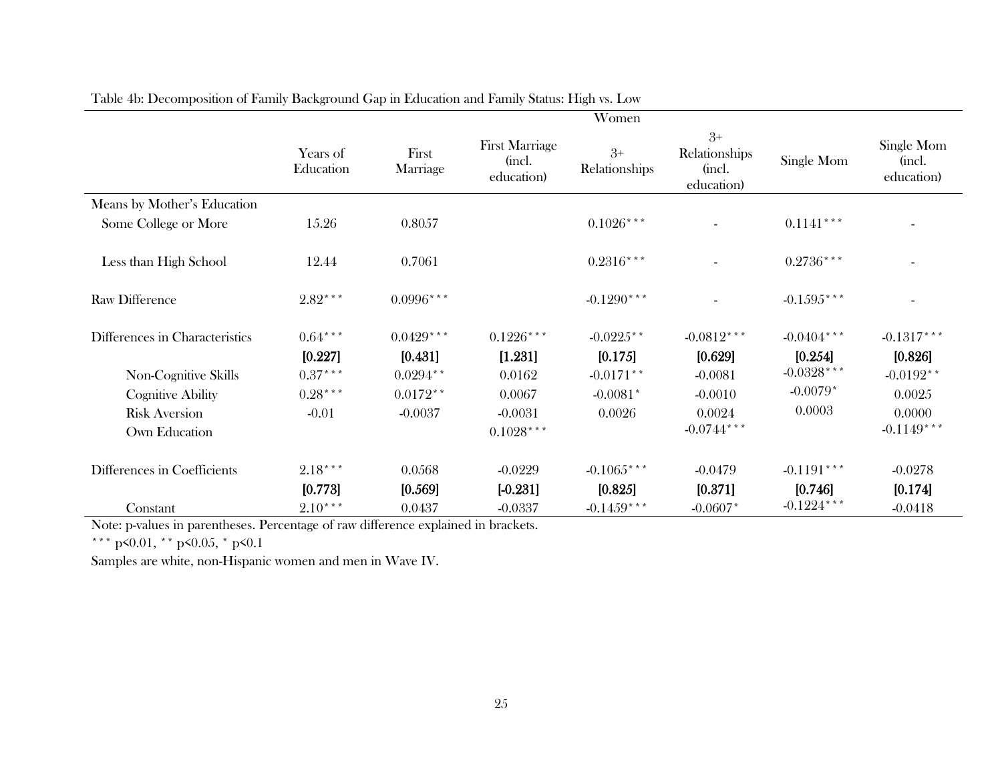|                                |                       |                   |                                               | Women                 |                                               |               |                                    |
|--------------------------------|-----------------------|-------------------|-----------------------------------------------|-----------------------|-----------------------------------------------|---------------|------------------------------------|
|                                | Years of<br>Education | First<br>Marriage | <b>First Marriage</b><br>(incl.<br>education) | $3+$<br>Relationships | $3+$<br>Relationships<br>(incl.<br>education) | Single Mom    | Single Mom<br>(incl.<br>education) |
| Means by Mother's Education    |                       |                   |                                               |                       |                                               |               |                                    |
| Some College or More           | 15.26                 | 0.8057            |                                               | $0.1026***$           |                                               | $0.1141***$   |                                    |
|                                |                       |                   |                                               |                       |                                               |               |                                    |
| Less than High School          | 12.44                 | 0.7061            |                                               | $0.2316***$           |                                               | $0.2736***$   |                                    |
| <b>Raw Difference</b>          | $2.82***$             | $0.0996***$       |                                               | $-0.1290***$          |                                               | $-0.1595***$  |                                    |
| Differences in Characteristics | $0.64***$             | $0.0429***$       | $0.1226***$                                   | $-0.0225$ **          | $-0.0812***$                                  | $-0.0404***$  | $-0.1317***$                       |
|                                | [0.227]               | [0.431]           | [1.231]                                       | [0.175]               | [0.629]                                       | [0.254]       | [0.826]                            |
| Non-Cognitive Skills           | $0.37***$             | $0.0294**$        | 0.0162                                        | $-0.0171**$           | $-0.0081$                                     | $-0.0328***$  | $-0.0192**$                        |
| <b>Cognitive Ability</b>       | $0.28***$             | $0.0172**$        | 0.0067                                        | $-0.0081*$            | $-0.0010$                                     | $-0.0079*$    | 0.0025                             |
| <b>Risk Aversion</b>           | $-0.01$               | $-0.0037$         | $-0.0031$                                     | 0.0026                | 0.0024                                        | 0.0003        | 0.0000                             |
| Own Education                  |                       |                   | $0.1028***$                                   |                       | $-0.0744$ ***                                 |               | $-0.1149***$                       |
| Differences in Coefficients    | $2.18***$             | 0.0568            | $-0.0229$                                     | $-0.1065***$          | $-0.0479$                                     | $-0.1191***$  | $-0.0278$                          |
|                                | [0.773]               | [0.569]           | $[-0.231]$                                    | [0.825]               | [0.371]                                       | [0.746]       | [0.174]                            |
| Constant                       | $2.10***$             | 0.0437            | $-0.0337$                                     | $-0.1459***$          | $-0.0607*$                                    | $-0.1224$ *** | $-0.0418$                          |

Table 4b: Decomposition of Family Background Gap in Education and Family Status: High vs. Low

Note: p-values in parentheses. Percentage of raw difference explained in brackets.

\*\*\* p<0.01, \*\* p<0.05, \* p<0.1

j.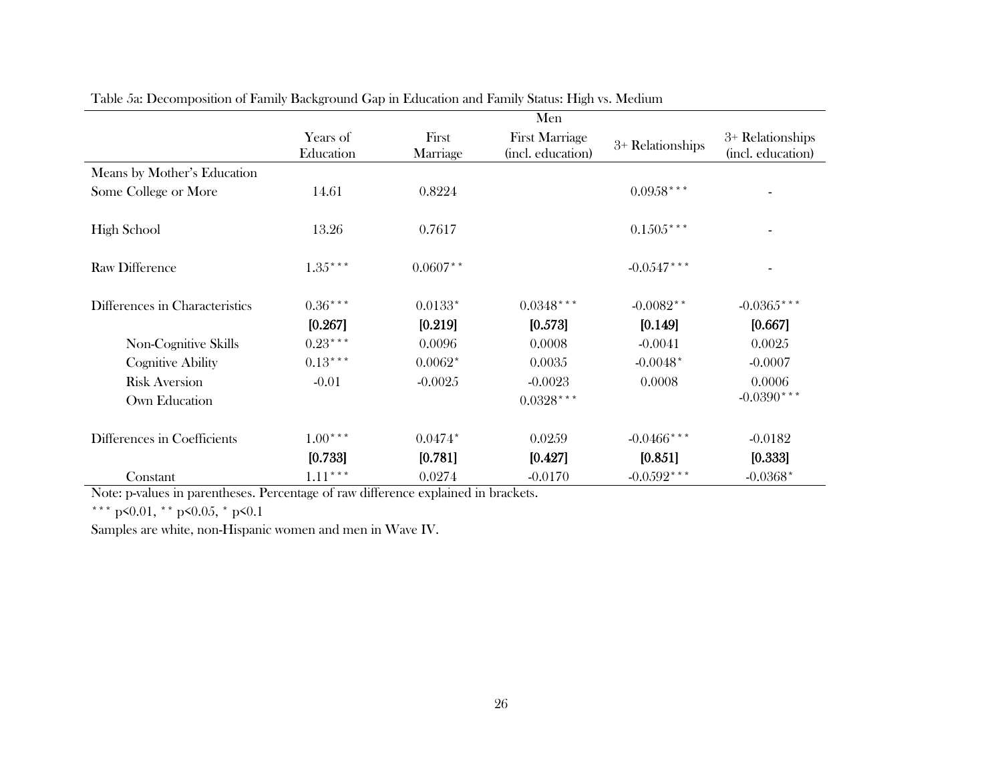|                                | Men                   |                   |                                            |                  |                                       |  |  |  |
|--------------------------------|-----------------------|-------------------|--------------------------------------------|------------------|---------------------------------------|--|--|--|
|                                | Years of<br>Education | First<br>Marriage | <b>First Marriage</b><br>(incl. education) | 3+ Relationships | 3+ Relationships<br>(incl. education) |  |  |  |
| Means by Mother's Education    |                       |                   |                                            |                  |                                       |  |  |  |
| Some College or More           | 14.61                 | 0.8224            |                                            | $0.0958***$      |                                       |  |  |  |
| <b>High School</b>             | 13.26                 | 0.7617            |                                            | $0.1505***$      |                                       |  |  |  |
| <b>Raw Difference</b>          | $1.35***$             | $0.0607**$        |                                            | $-0.0547***$     |                                       |  |  |  |
| Differences in Characteristics | $0.36***$             | $0.0133*$         | $0.0348***$                                | $-0.0082**$      | $-0.0365$ ***                         |  |  |  |
|                                | [0.267]               | [0.219]           | [0.573]                                    | [0.149]          | [0.667]                               |  |  |  |
| Non-Cognitive Skills           | $0.23***$             | 0.0096            | 0.0008                                     | $-0.0041$        | 0.0025                                |  |  |  |
| <b>Cognitive Ability</b>       | $0.13***$             | $0.0062*$         | 0.0035                                     | $-0.0048*$       | $-0.0007$                             |  |  |  |
| <b>Risk Aversion</b>           | $-0.01$               | $-0.0025$         | $-0.0023$                                  | 0.0008           | 0.0006                                |  |  |  |
| Own Education                  |                       |                   | $0.0328***$                                |                  | $-0.0390***$                          |  |  |  |
| Differences in Coefficients    | $1.00***$             | $0.0474*$         | 0.0259                                     | $-0.0466$ ***    | $-0.0182$                             |  |  |  |
|                                | [0.733]               | [0.781]           | [0.427]                                    | [0.851]          | [0.333]                               |  |  |  |
| Constant                       | $1.11***$             | 0.0274            | $-0.0170$                                  | $-0.0592***$     | $-0.0368*$                            |  |  |  |

Table 5a: Decomposition of Family Background Gap in Education and Family Status: High vs. Medium

Note: p-values in parentheses. Percentage of raw difference explained in brackets.

\*\*\* p<0.01, \*\* p<0.05, \* p<0.1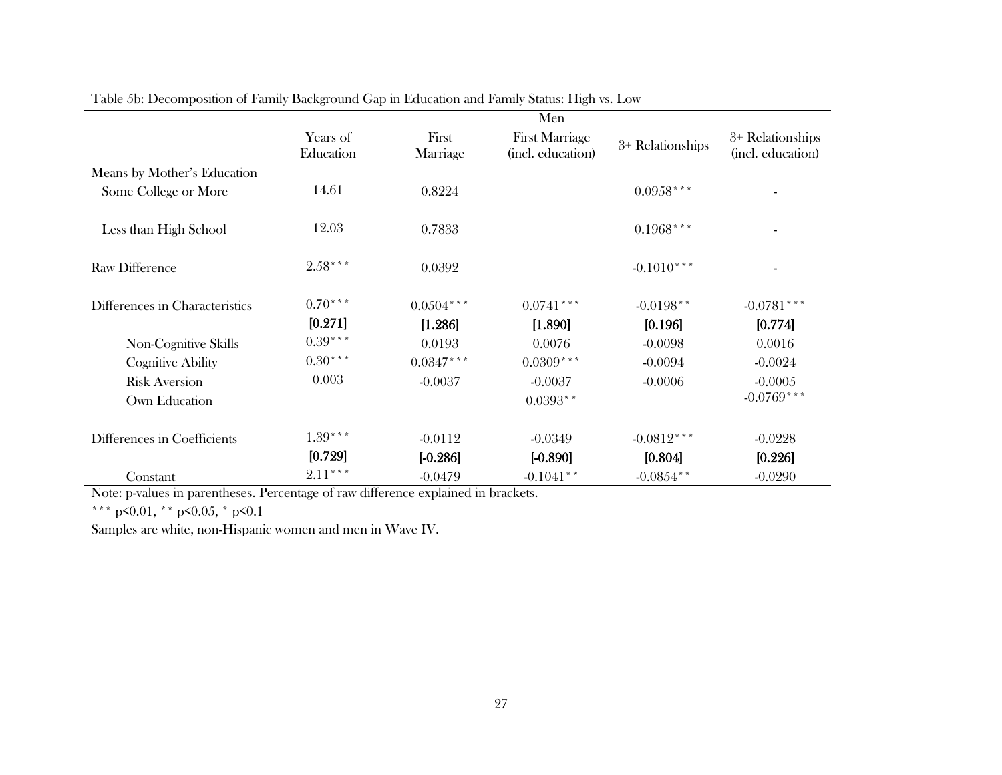|                                | Men                   |                   |                                            |                  |                                       |  |  |  |
|--------------------------------|-----------------------|-------------------|--------------------------------------------|------------------|---------------------------------------|--|--|--|
|                                | Years of<br>Education | First<br>Marriage | <b>First Marriage</b><br>(incl. education) | 3+ Relationships | 3+ Relationships<br>(incl. education) |  |  |  |
| Means by Mother's Education    |                       |                   |                                            |                  |                                       |  |  |  |
| Some College or More           | 14.61                 | 0.8224            |                                            | $0.0958***$      |                                       |  |  |  |
| Less than High School          | 12.03                 | 0.7833            |                                            | $0.1968***$      |                                       |  |  |  |
| <b>Raw Difference</b>          | $2.58***$             | 0.0392            |                                            | $-0.1010***$     |                                       |  |  |  |
| Differences in Characteristics | $0.70***$             | $0.0504***$       | $0.0741$ ***                               | $-0.0198**$      | $-0.0781$ ***                         |  |  |  |
|                                | [0.271]               | [1.286]           | [1.890]                                    | [0.196]          | [0.774]                               |  |  |  |
| Non-Cognitive Skills           | $0.39***$             | 0.0193            | 0.0076                                     | $-0.0098$        | 0.0016                                |  |  |  |
| <b>Cognitive Ability</b>       | $0.30***$             | $0.0347***$       | $0.0309***$                                | $-0.0094$        | $-0.0024$                             |  |  |  |
| <b>Risk Aversion</b>           | 0.003                 | $-0.0037$         | $-0.0037$                                  | $-0.0006$        | $-0.0005$                             |  |  |  |
| Own Education                  |                       |                   | $0.0393**$                                 |                  | $-0.0769***$                          |  |  |  |
| Differences in Coefficients    | $1.39***$             | $-0.0112$         | $-0.0349$                                  | $-0.0812***$     | $-0.0228$                             |  |  |  |
|                                | [0.729]               | $[-0.286]$        | $[-0.890]$                                 | [0.804]          | [0.226]                               |  |  |  |
| Constant                       | $2.11***$             | $-0.0479$         | $-0.1041**$                                | $-0.0854$ **     | $-0.0290$                             |  |  |  |

Table 5b: Decomposition of Family Background Gap in Education and Family Status: High vs. Low

Note: p-values in parentheses. Percentage of raw difference explained in brackets.

\*\*\* p<0.01, \*\* p<0.05, \* p<0.1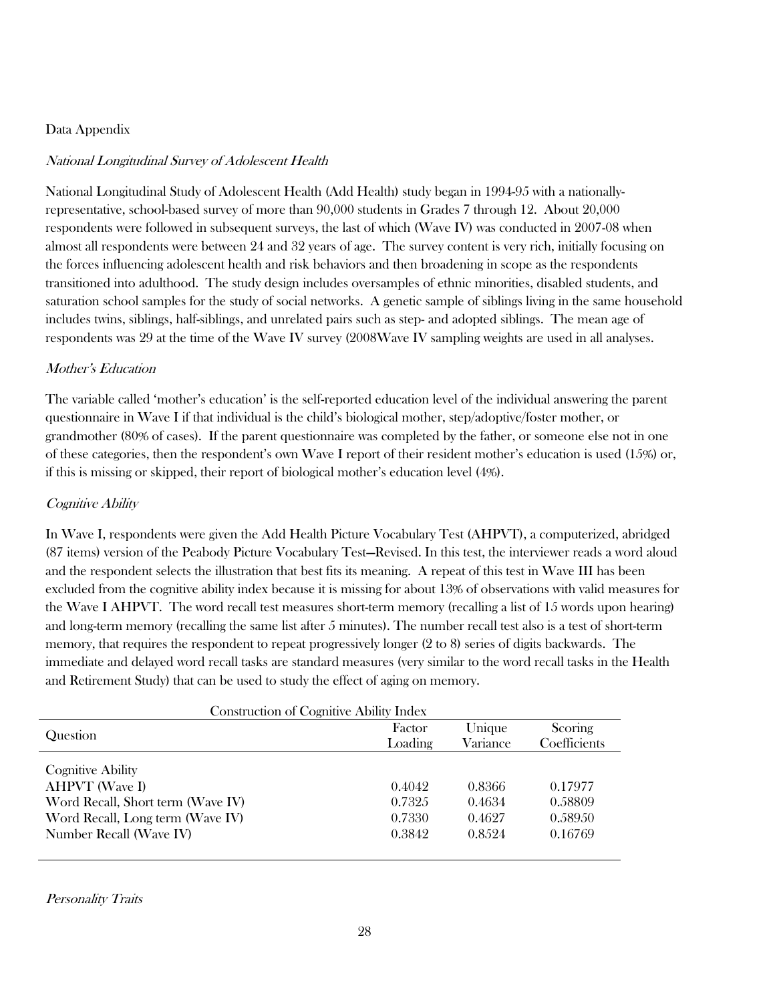# Data Appendix

# National Longitudinal Survey of Adolescent Health

National Longitudinal Study of Adolescent Health (Add Health) study began in 1994-95 with a nationallyrepresentative, school-based survey of more than 90,000 students in Grades 7 through 12. About 20,000 respondents were followed in subsequent surveys, the last of which (Wave IV) was conducted in 2007-08 when almost all respondents were between 24 and 32 years of age. The survey content is very rich, initially focusing on the forces influencing adolescent health and risk behaviors and then broadening in scope as the respondents transitioned into adulthood. The study design includes oversamples of ethnic minorities, disabled students, and saturation school samples for the study of social networks. A genetic sample of siblings living in the same household includes twins, siblings, half-siblings, and unrelated pairs such as step- and adopted siblings. The mean age of respondents was 29 at the time of the Wave IV survey (2008Wave IV sampling weights are used in all analyses.

# Mother's Education

The variable called 'mother's education' is the self-reported education level of the individual answering the parent questionnaire in Wave I if that individual is the child's biological mother, step/adoptive/foster mother, or grandmother (80% of cases). If the parent questionnaire was completed by the father, or someone else not in one of these categories, then the respondent's own Wave I report of their resident mother's education is used (15%) or, if this is missing or skipped, their report of biological mother's education level (4%).

### Cognitive Ability

In Wave I, respondents were given the Add Health Picture Vocabulary Test (AHPVT), a computerized, abridged (87 items) version of the Peabody Picture Vocabulary Test—Revised. In this test, the interviewer reads a word aloud and the respondent selects the illustration that best fits its meaning. A repeat of this test in Wave III has been excluded from the cognitive ability index because it is missing for about 13% of observations with valid measures for the Wave I AHPVT. The word recall test measures short-term memory (recalling a list of 15 words upon hearing) and long-term memory (recalling the same list after 5 minutes). The number recall test also is a test of short-term memory, that requires the respondent to repeat progressively longer (2 to 8) series of digits backwards. The immediate and delayed word recall tasks are standard measures (very similar to the word recall tasks in the Health and Retirement Study) that can be used to study the effect of aging on memory.

| <b>Construction of Cognitive Ability Index</b> |                   |                    |                         |  |  |  |
|------------------------------------------------|-------------------|--------------------|-------------------------|--|--|--|
| Question                                       | Factor<br>Loading | Unique<br>Variance | Scoring<br>Coefficients |  |  |  |
| <b>Cognitive Ability</b>                       |                   |                    |                         |  |  |  |
| <b>AHPVT</b> (Wave I)                          | 0.4042            | 0.8366             | 0.17977                 |  |  |  |
| Word Recall, Short term (Wave IV)              | 0.7325            | 0.4634             | 0.58809                 |  |  |  |
| Word Recall, Long term (Wave IV)               | 0.7330            | 0.4627             | 0.58950                 |  |  |  |
| Number Recall (Wave IV)                        | 0.3842            | 0.8.524            | 0.16769                 |  |  |  |

Personality Traits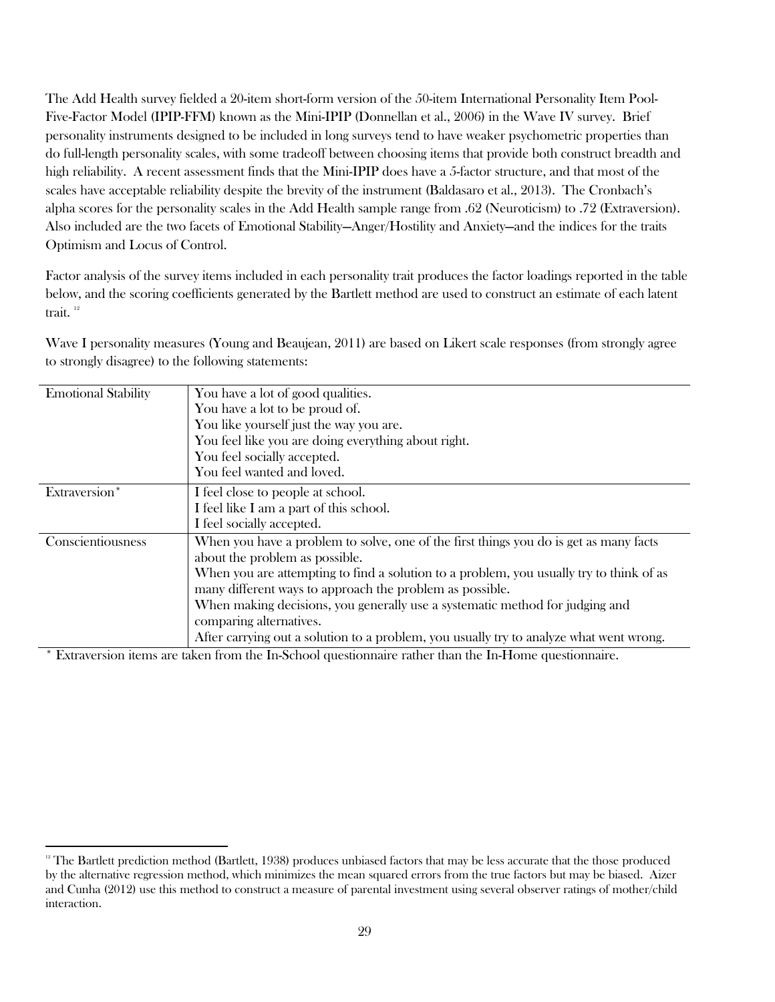The Add Health survey fielded a 20-item short-form version of the 50-item International Personality Item Pool-Five-Factor Model (IPIP-FFM) known as the Mini-IPIP (Donnellan et al., 2006) in the Wave IV survey. Brief personality instruments designed to be included in long surveys tend to have weaker psychometric properties than do full-length personality scales, with some tradeoff between choosing items that provide both construct breadth and high reliability. A recent assessment finds that the Mini-IPIP does have a 5-factor structure, and that most of the scales have acceptable reliability despite the brevity of the instrument (Baldasaro et al., 2013). The Cronbach's alpha scores for the personality scales in the Add Health sample range from .62 (Neuroticism) to .72 (Extraversion). Also included are the two facets of Emotional Stability—Anger/Hostility and Anxiety—and the indices for the traits Optimism and Locus of Control.

Factor analysis of the survey items included in each personality trait produces the factor loadings reported in the table below, and the scoring coefficients generated by the Bartlett method are used to construct an estimate of each latent trait.<sup>12</sup>

Wave I personality measures (Young and Beaujean, 2011) are based on Likert scale responses (from strongly agree to strongly disagree) to the following statements:

| <b>Emotional Stability</b> | You have a lot of good qualities.                                                       |
|----------------------------|-----------------------------------------------------------------------------------------|
|                            | You have a lot to be proud of.                                                          |
|                            | You like yourself just the way you are.                                                 |
|                            | You feel like you are doing everything about right.                                     |
|                            | You feel socially accepted.                                                             |
|                            | You feel wanted and loved.                                                              |
| Extraversion*              | I feel close to people at school.                                                       |
|                            | I feel like I am a part of this school.                                                 |
|                            | I feel socially accepted.                                                               |
| Conscientiousness          | When you have a problem to solve, one of the first things you do is get as many facts   |
|                            | about the problem as possible.                                                          |
|                            | When you are attempting to find a solution to a problem, you usually try to think of as |
|                            | many different ways to approach the problem as possible.                                |
|                            | When making decisions, you generally use a systematic method for judging and            |
|                            | comparing alternatives.                                                                 |
|                            | After carrying out a solution to a problem, you usually try to analyze what went wrong. |
|                            |                                                                                         |

\* Extraversion items are taken from the In-School questionnaire rather than the In-Home questionnaire.

 $\overline{\phantom{a}}$ 

<sup>&</sup>lt;sup>12</sup> The Bartlett prediction method (Bartlett, 1938) produces unbiased factors that may be less accurate that the those produced by the alternative regression method, which minimizes the mean squared errors from the true factors but may be biased. Aizer and Cunha (2012) use this method to construct a measure of parental investment using several observer ratings of mother/child interaction.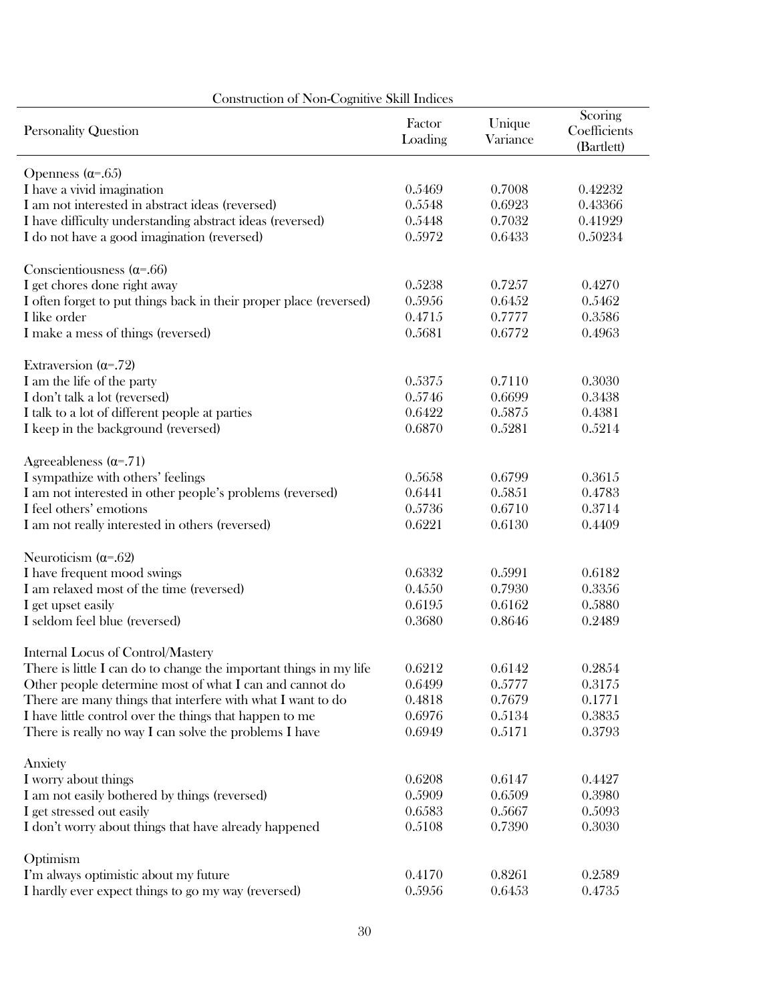| Construction of Non-Cognitive Skill Indices                        |                   |                    |                                       |  |  |  |  |  |  |  |
|--------------------------------------------------------------------|-------------------|--------------------|---------------------------------------|--|--|--|--|--|--|--|
| <b>Personality Question</b>                                        | Factor<br>Loading | Unique<br>Variance | Scoring<br>Coefficients<br>(Bartlett) |  |  |  |  |  |  |  |
| Openness $(\alpha = .65)$                                          |                   |                    |                                       |  |  |  |  |  |  |  |
| I have a vivid imagination                                         | 0.5469            | 0.7008             | 0.42232                               |  |  |  |  |  |  |  |
| I am not interested in abstract ideas (reversed)                   | 0.5548            | 0.6923             | 0.43366                               |  |  |  |  |  |  |  |
| I have difficulty understanding abstract ideas (reversed)          | 0.5448            | 0.7032             | 0.41929                               |  |  |  |  |  |  |  |
| I do not have a good imagination (reversed)                        | 0.5972            | 0.6433             | 0.50234                               |  |  |  |  |  |  |  |
| Conscientiousness ( $\alpha$ =.66)                                 |                   |                    |                                       |  |  |  |  |  |  |  |
| I get chores done right away                                       | 0.5238            | 0.7257             | 0.4270                                |  |  |  |  |  |  |  |
| I often forget to put things back in their proper place (reversed) | 0.5956            | 0.6452             | 0.5462                                |  |  |  |  |  |  |  |
| I like order                                                       | 0.4715            | 0.7777             | 0.3586                                |  |  |  |  |  |  |  |
| I make a mess of things (reversed)                                 | 0.5681            | 0.6772             | 0.4963                                |  |  |  |  |  |  |  |
| Extraversion $(\alpha = .72)$                                      |                   |                    |                                       |  |  |  |  |  |  |  |
| I am the life of the party                                         | 0.5375            | 0.7110             | 0.3030                                |  |  |  |  |  |  |  |
| I don't talk a lot (reversed)                                      | 0.5746            | 0.6699             | 0.3438                                |  |  |  |  |  |  |  |
| I talk to a lot of different people at parties                     | 0.6422            | 0.5875             | 0.4381                                |  |  |  |  |  |  |  |
| I keep in the background (reversed)                                | 0.6870            | 0.5281             | 0.5214                                |  |  |  |  |  |  |  |
| Agreeableness $(\alpha = .71)$                                     |                   |                    |                                       |  |  |  |  |  |  |  |
| I sympathize with others' feelings                                 | 0.5658            | 0.6799             | 0.3615                                |  |  |  |  |  |  |  |
| I am not interested in other people's problems (reversed)          | 0.6441            | 0.5851             | 0.4783                                |  |  |  |  |  |  |  |
| I feel others' emotions                                            | 0.5736            | 0.6710             | 0.3714                                |  |  |  |  |  |  |  |
| I am not really interested in others (reversed)                    | 0.6221            | 0.6130             | 0.4409                                |  |  |  |  |  |  |  |
| Neuroticism $(\alpha = .62)$                                       |                   |                    |                                       |  |  |  |  |  |  |  |
| I have frequent mood swings                                        | 0.6332            | 0.5991             | 0.6182                                |  |  |  |  |  |  |  |
| I am relaxed most of the time (reversed)                           | 0.4550            | 0.7930             | 0.3356                                |  |  |  |  |  |  |  |
| I get upset easily                                                 | 0.6195            | 0.6162             | 0.5880                                |  |  |  |  |  |  |  |
| I seldom feel blue (reversed)                                      | 0.3680            | 0.8646             | 0.2489                                |  |  |  |  |  |  |  |
| Internal Locus of Control/Mastery                                  |                   |                    |                                       |  |  |  |  |  |  |  |
| There is little I can do to change the important things in my life | 0.6212            | 0.6142             | 0.2854                                |  |  |  |  |  |  |  |
| Other people determine most of what I can and cannot do            | 0.6499            | 0.5777             | 0.3175                                |  |  |  |  |  |  |  |
| There are many things that interfere with what I want to do        | 0.4818            | 0.7679             | 0.1771                                |  |  |  |  |  |  |  |
| I have little control over the things that happen to me            | 0.6976            | 0.5134             | 0.3835                                |  |  |  |  |  |  |  |
| There is really no way I can solve the problems I have             | 0.6949            | 0.5171             | 0.3793                                |  |  |  |  |  |  |  |
| Anxiety                                                            |                   |                    |                                       |  |  |  |  |  |  |  |
| I worry about things                                               | 0.6208            | 0.6147             | 0.4427                                |  |  |  |  |  |  |  |
| I am not easily bothered by things (reversed)                      | 0.5909            | 0.6509             | 0.3980                                |  |  |  |  |  |  |  |
| I get stressed out easily                                          | 0.6583            | 0.5667             | 0.5093                                |  |  |  |  |  |  |  |
| I don't worry about things that have already happened              | 0.5108            | 0.7390             | 0.3030                                |  |  |  |  |  |  |  |
| Optimism                                                           |                   |                    |                                       |  |  |  |  |  |  |  |
| I'm always optimistic about my future                              | 0.4170            | 0.8261             | 0.2589                                |  |  |  |  |  |  |  |
| I hardly ever expect things to go my way (reversed)                | 0.5956            | 0.6453             | 0.4735                                |  |  |  |  |  |  |  |